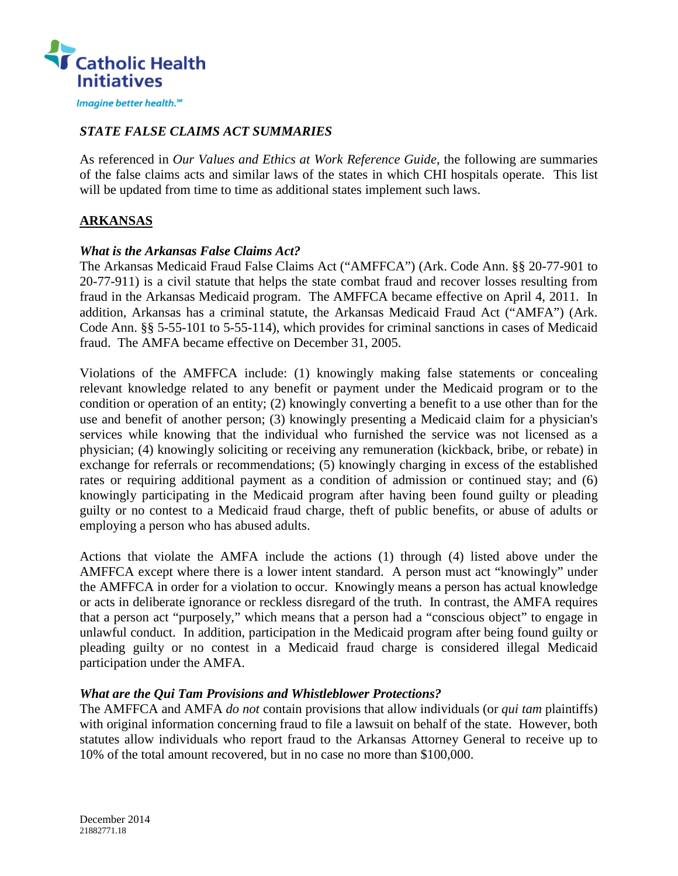

### *STATE FALSE CLAIMS ACT SUMMARIES*

As referenced in *Our Values and Ethics at Work Reference Guide*, the following are summaries of the false claims acts and similar laws of the states in which CHI hospitals operate. This list will be updated from time to time as additional states implement such laws.

## **ARKANSAS**

#### *What is the Arkansas False Claims Act?*

The Arkansas Medicaid Fraud False Claims Act ("AMFFCA") (Ark. Code Ann. §§ 20-77-901 to 20-77-911) is a civil statute that helps the state combat fraud and recover losses resulting from fraud in the Arkansas Medicaid program. The AMFFCA became effective on April 4, 2011. In addition, Arkansas has a criminal statute, the Arkansas Medicaid Fraud Act ("AMFA") (Ark. Code Ann. §§ 5-55-101 to 5-55-114), which provides for criminal sanctions in cases of Medicaid fraud. The AMFA became effective on December 31, 2005.

Violations of the AMFFCA include: (1) knowingly making false statements or concealing relevant knowledge related to any benefit or payment under the Medicaid program or to the condition or operation of an entity; (2) knowingly converting a benefit to a use other than for the use and benefit of another person; (3) knowingly presenting a Medicaid claim for a physician's services while knowing that the individual who furnished the service was not licensed as a physician; (4) knowingly soliciting or receiving any remuneration (kickback, bribe, or rebate) in exchange for referrals or recommendations; (5) knowingly charging in excess of the established rates or requiring additional payment as a condition of admission or continued stay; and (6) knowingly participating in the Medicaid program after having been found guilty or pleading guilty or no contest to a Medicaid fraud charge, theft of public benefits, or abuse of adults or employing a person who has abused adults.

Actions that violate the AMFA include the actions (1) through (4) listed above under the AMFFCA except where there is a lower intent standard. A person must act "knowingly" under the AMFFCA in order for a violation to occur. Knowingly means a person has actual knowledge or acts in deliberate ignorance or reckless disregard of the truth. In contrast, the AMFA requires that a person act "purposely," which means that a person had a "conscious object" to engage in unlawful conduct. In addition, participation in the Medicaid program after being found guilty or pleading guilty or no contest in a Medicaid fraud charge is considered illegal Medicaid participation under the AMFA.

#### *What are the Qui Tam Provisions and Whistleblower Protections?*

The AMFFCA and AMFA *do not* contain provisions that allow individuals (or *qui tam* plaintiffs) with original information concerning fraud to file a lawsuit on behalf of the state. However, both statutes allow individuals who report fraud to the Arkansas Attorney General to receive up to 10% of the total amount recovered, but in no case no more than \$100,000.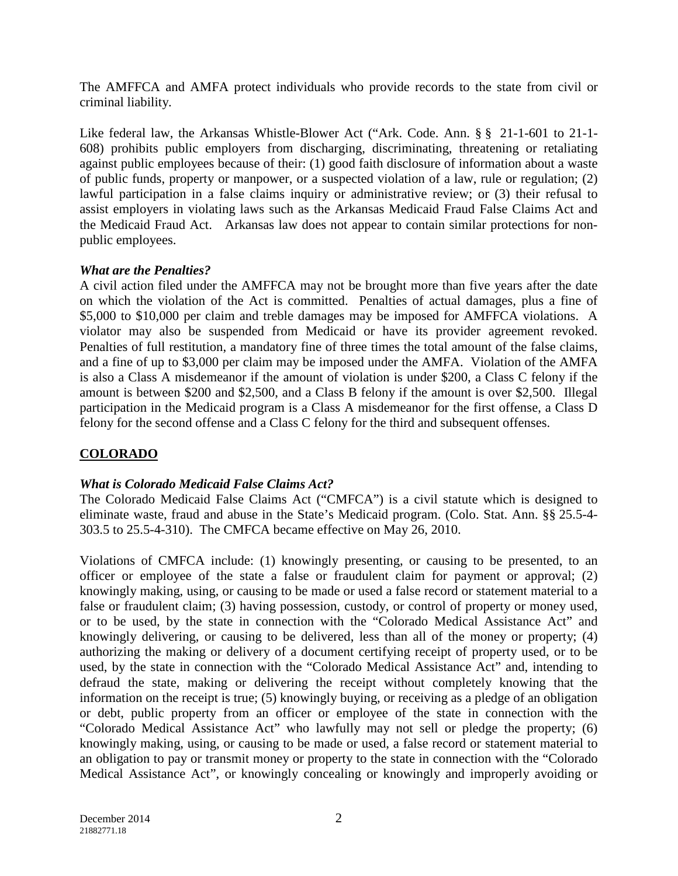The AMFFCA and AMFA protect individuals who provide records to the state from civil or criminal liability.

Like federal law, the Arkansas Whistle-Blower Act ("Ark. Code. Ann. § § 21-1-601 to 21-1- 608) prohibits public employers from discharging, discriminating, threatening or retaliating against public employees because of their: (1) good faith disclosure of information about a waste of public funds, property or manpower, or a suspected violation of a law, rule or regulation; (2) lawful participation in a false claims inquiry or administrative review; or (3) their refusal to assist employers in violating laws such as the Arkansas Medicaid Fraud False Claims Act and the Medicaid Fraud Act. Arkansas law does not appear to contain similar protections for nonpublic employees.

## *What are the Penalties?*

A civil action filed under the AMFFCA may not be brought more than five years after the date on which the violation of the Act is committed. Penalties of actual damages, plus a fine of \$5,000 to \$10,000 per claim and treble damages may be imposed for AMFFCA violations. A violator may also be suspended from Medicaid or have its provider agreement revoked. Penalties of full restitution, a mandatory fine of three times the total amount of the false claims, and a fine of up to \$3,000 per claim may be imposed under the AMFA. Violation of the AMFA is also a Class A misdemeanor if the amount of violation is under \$200, a Class C felony if the amount is between \$200 and \$2,500, and a Class B felony if the amount is over \$2,500. Illegal participation in the Medicaid program is a Class A misdemeanor for the first offense, a Class D felony for the second offense and a Class C felony for the third and subsequent offenses.

# **COLORADO**

# *What is Colorado Medicaid False Claims Act?*

The Colorado Medicaid False Claims Act ("CMFCA") is a civil statute which is designed to eliminate waste, fraud and abuse in the State's Medicaid program. (Colo. Stat. Ann. §§ 25.5-4- 303.5 to 25.5-4-310). The CMFCA became effective on May 26, 2010.

Violations of CMFCA include: (1) knowingly presenting, or causing to be presented, to an officer or employee of the state a false or fraudulent claim for payment or approval; (2) knowingly making, using, or causing to be made or used a false record or statement material to a false or fraudulent claim; (3) having possession, custody, or control of property or money used, or to be used, by the state in connection with the "Colorado Medical Assistance Act" and knowingly delivering, or causing to be delivered, less than all of the money or property; (4) authorizing the making or delivery of a document certifying receipt of property used, or to be used, by the state in connection with the "Colorado Medical Assistance Act" and, intending to defraud the state, making or delivering the receipt without completely knowing that the information on the receipt is true; (5) knowingly buying, or receiving as a pledge of an obligation or debt, public property from an officer or employee of the state in connection with the "Colorado Medical Assistance Act" who lawfully may not sell or pledge the property; (6) knowingly making, using, or causing to be made or used, a false record or statement material to an obligation to pay or transmit money or property to the state in connection with the "Colorado Medical Assistance Act", or knowingly concealing or knowingly and improperly avoiding or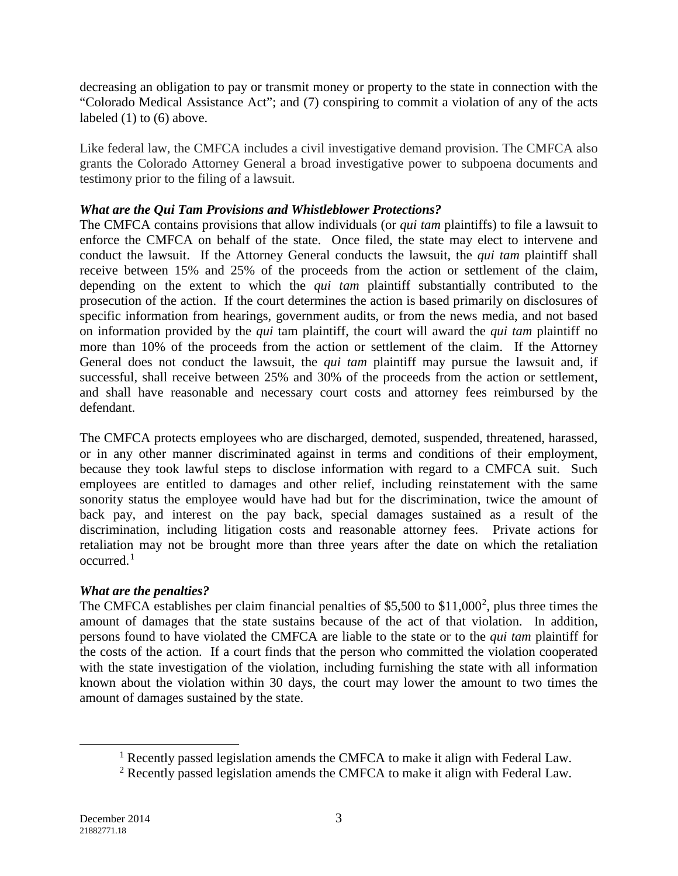decreasing an obligation to pay or transmit money or property to the state in connection with the "Colorado Medical Assistance Act"; and (7) conspiring to commit a violation of any of the acts labeled (1) to (6) above.

Like federal law, the CMFCA includes a civil investigative demand provision. The CMFCA also grants the Colorado Attorney General a broad investigative power to subpoena documents and testimony prior to the filing of a lawsuit.

### *What are the Qui Tam Provisions and Whistleblower Protections?*

The CMFCA contains provisions that allow individuals (or *qui tam* plaintiffs) to file a lawsuit to enforce the CMFCA on behalf of the state. Once filed, the state may elect to intervene and conduct the lawsuit. If the Attorney General conducts the lawsuit, the *qui tam* plaintiff shall receive between 15% and 25% of the proceeds from the action or settlement of the claim, depending on the extent to which the *qui tam* plaintiff substantially contributed to the prosecution of the action. If the court determines the action is based primarily on disclosures of specific information from hearings, government audits, or from the news media, and not based on information provided by the *qui* tam plaintiff, the court will award the *qui tam* plaintiff no more than 10% of the proceeds from the action or settlement of the claim. If the Attorney General does not conduct the lawsuit, the *qui tam* plaintiff may pursue the lawsuit and, if successful, shall receive between 25% and 30% of the proceeds from the action or settlement, and shall have reasonable and necessary court costs and attorney fees reimbursed by the defendant.

The CMFCA protects employees who are discharged, demoted, suspended, threatened, harassed, or in any other manner discriminated against in terms and conditions of their employment, because they took lawful steps to disclose information with regard to a CMFCA suit. Such employees are entitled to damages and other relief, including reinstatement with the same sonority status the employee would have had but for the discrimination, twice the amount of back pay, and interest on the pay back, special damages sustained as a result of the discrimination, including litigation costs and reasonable attorney fees. Private actions for retaliation may not be brought more than three years after the date on which the retaliation  $occurred<sup>1</sup>$  $occurred<sup>1</sup>$  $occurred<sup>1</sup>$ 

# *What are the penalties?*

The CMFCA establishes per claim financial penalties of \$5,500 to \$11,000<sup>[2](#page-2-1)</sup>, plus three times the amount of damages that the state sustains because of the act of that violation. In addition, persons found to have violated the CMFCA are liable to the state or to the *qui tam* plaintiff for the costs of the action. If a court finds that the person who committed the violation cooperated with the state investigation of the violation, including furnishing the state with all information known about the violation within 30 days, the court may lower the amount to two times the amount of damages sustained by the state.

<span id="page-2-1"></span><span id="page-2-0"></span> $\overline{a}$ 

<sup>1</sup> Recently passed legislation amends the CMFCA to make it align with Federal Law.

<sup>&</sup>lt;sup>2</sup> Recently passed legislation amends the CMFCA to make it align with Federal Law.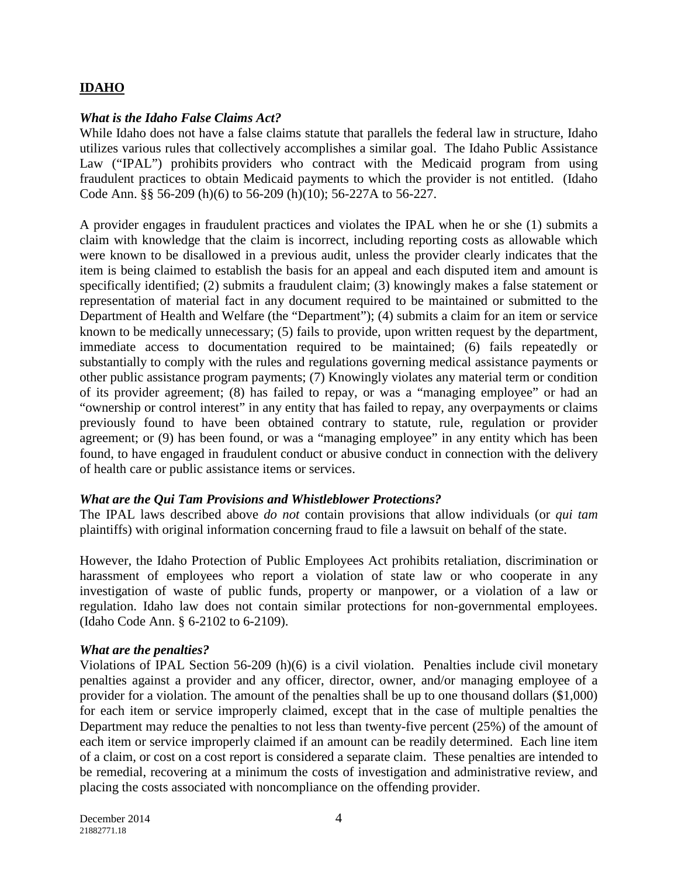### **IDAHO**

#### *What is the Idaho False Claims Act?*

While Idaho does not have a false claims statute that parallels the federal law in structure, Idaho utilizes various rules that collectively accomplishes a similar goal. The Idaho Public Assistance Law ("IPAL") prohibits providers who contract with the Medicaid program from using fraudulent practices to obtain Medicaid payments to which the provider is not entitled. (Idaho Code Ann. §§ 56-209 (h)(6) to 56-209 (h)(10); 56-227A to 56-227.

A provider engages in fraudulent practices and violates the IPAL when he or she (1) submits a claim with knowledge that the claim is incorrect, including reporting costs as allowable which were known to be disallowed in a previous audit, unless the provider clearly indicates that the item is being claimed to establish the basis for an appeal and each disputed item and amount is specifically identified; (2) submits a fraudulent claim; (3) knowingly makes a false statement or representation of material fact in any document required to be maintained or submitted to the Department of Health and Welfare (the "Department"); (4) submits a claim for an item or service known to be medically unnecessary; (5) fails to provide, upon written request by the department, immediate access to documentation required to be maintained; (6) fails repeatedly or substantially to comply with the rules and regulations governing medical assistance payments or other public assistance program payments; (7) Knowingly violates any material term or condition of its provider agreement; (8) has failed to repay, or was a "managing employee" or had an "ownership or control interest" in any entity that has failed to repay, any overpayments or claims previously found to have been obtained contrary to statute, rule, regulation or provider agreement; or (9) has been found, or was a "managing employee" in any entity which has been found, to have engaged in fraudulent conduct or abusive conduct in connection with the delivery of health care or public assistance items or services.

#### *What are the Qui Tam Provisions and Whistleblower Protections?*

The IPAL laws described above *do not* contain provisions that allow individuals (or *qui tam* plaintiffs) with original information concerning fraud to file a lawsuit on behalf of the state.

However, the Idaho Protection of Public Employees Act prohibits retaliation, discrimination or harassment of employees who report a violation of state law or who cooperate in any investigation of waste of public funds, property or manpower, or a violation of a law or regulation. Idaho law does not contain similar protections for non-governmental employees. (Idaho Code Ann. § 6-2102 to 6-2109).

#### *What are the penalties?*

Violations of IPAL Section 56-209 (h)(6) is a civil violation. Penalties include civil monetary penalties against a provider and any officer, director, owner, and/or managing employee of a provider for a violation. The amount of the penalties shall be up to one thousand dollars (\$1,000) for each item or service improperly claimed, except that in the case of multiple penalties the Department may reduce the penalties to not less than twenty-five percent (25%) of the amount of each item or service improperly claimed if an amount can be readily determined. Each line item of a claim, or cost on a cost report is considered a separate claim. These penalties are intended to be remedial, recovering at a minimum the costs of investigation and administrative review, and placing the costs associated with noncompliance on the offending provider.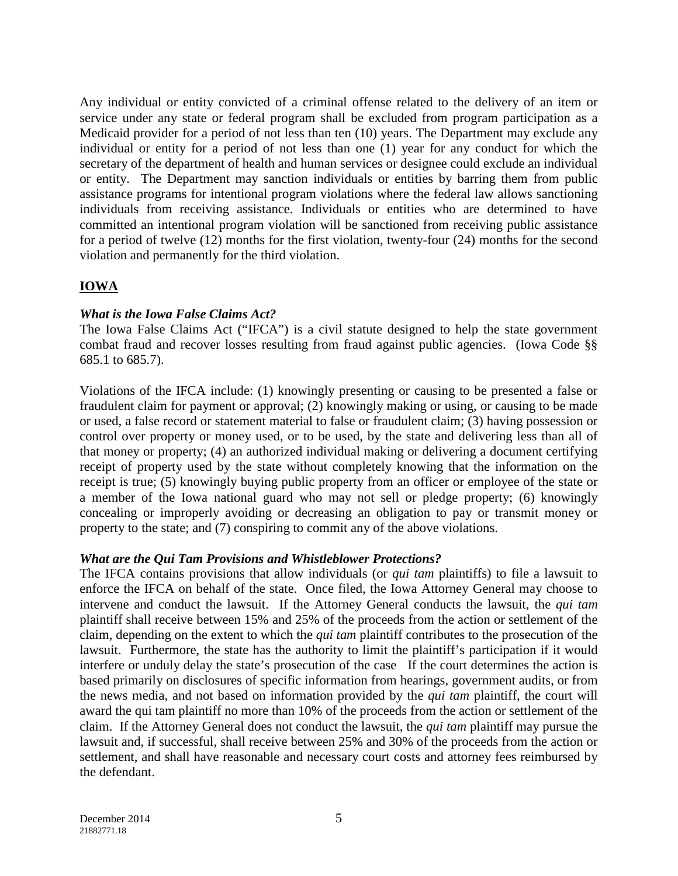Any individual or entity convicted of a criminal offense related to the delivery of an item or service under any state or federal program shall be excluded from program participation as a Medicaid provider for a period of not less than ten (10) years. The Department may exclude any individual or entity for a period of not less than one (1) year for any conduct for which the secretary of the department of health and human services or designee could exclude an individual or entity. The Department may sanction individuals or entities by barring them from public assistance programs for intentional program violations where the federal law allows sanctioning individuals from receiving assistance. Individuals or entities who are determined to have committed an intentional program violation will be sanctioned from receiving public assistance for a period of twelve (12) months for the first violation, twenty-four (24) months for the second violation and permanently for the third violation.

# **IOWA**

### *What is the Iowa False Claims Act?*

The Iowa False Claims Act ("IFCA") is a civil statute designed to help the state government combat fraud and recover losses resulting from fraud against public agencies. (Iowa Code §§ 685.1 to 685.7).

Violations of the IFCA include: (1) knowingly presenting or causing to be presented a false or fraudulent claim for payment or approval; (2) knowingly making or using, or causing to be made or used, a false record or statement material to false or fraudulent claim; (3) having possession or control over property or money used, or to be used, by the state and delivering less than all of that money or property; (4) an authorized individual making or delivering a document certifying receipt of property used by the state without completely knowing that the information on the receipt is true; (5) knowingly buying public property from an officer or employee of the state or a member of the Iowa national guard who may not sell or pledge property; (6) knowingly concealing or improperly avoiding or decreasing an obligation to pay or transmit money or property to the state; and (7) conspiring to commit any of the above violations.

### *What are the Qui Tam Provisions and Whistleblower Protections?*

The IFCA contains provisions that allow individuals (or *qui tam* plaintiffs) to file a lawsuit to enforce the IFCA on behalf of the state. Once filed, the Iowa Attorney General may choose to intervene and conduct the lawsuit. If the Attorney General conducts the lawsuit, the *qui tam* plaintiff shall receive between 15% and 25% of the proceeds from the action or settlement of the claim, depending on the extent to which the *qui tam* plaintiff contributes to the prosecution of the lawsuit. Furthermore, the state has the authority to limit the plaintiff's participation if it would interfere or unduly delay the state's prosecution of the case If the court determines the action is based primarily on disclosures of specific information from hearings, government audits, or from the news media, and not based on information provided by the *qui tam* plaintiff, the court will award the qui tam plaintiff no more than 10% of the proceeds from the action or settlement of the claim. If the Attorney General does not conduct the lawsuit, the *qui tam* plaintiff may pursue the lawsuit and, if successful, shall receive between 25% and 30% of the proceeds from the action or settlement, and shall have reasonable and necessary court costs and attorney fees reimbursed by the defendant.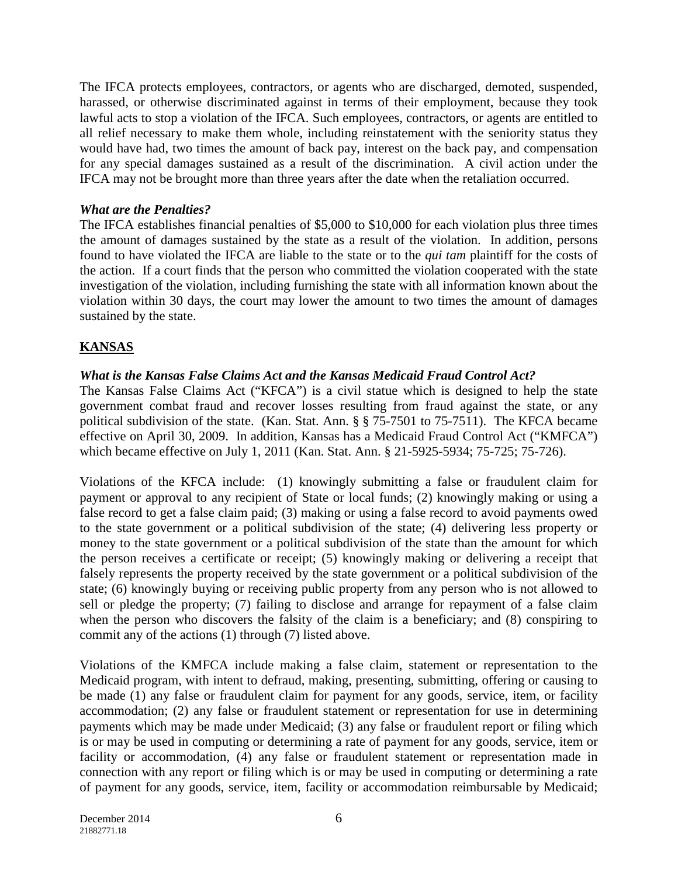The IFCA protects employees, contractors, or agents who are discharged, demoted, suspended, harassed, or otherwise discriminated against in terms of their employment, because they took lawful acts to stop a violation of the IFCA. Such employees, contractors, or agents are entitled to all relief necessary to make them whole, including reinstatement with the seniority status they would have had, two times the amount of back pay, interest on the back pay, and compensation for any special damages sustained as a result of the discrimination. A civil action under the IFCA may not be brought more than three years after the date when the retaliation occurred.

### *What are the Penalties?*

The IFCA establishes financial penalties of \$5,000 to \$10,000 for each violation plus three times the amount of damages sustained by the state as a result of the violation. In addition, persons found to have violated the IFCA are liable to the state or to the *qui tam* plaintiff for the costs of the action. If a court finds that the person who committed the violation cooperated with the state investigation of the violation, including furnishing the state with all information known about the violation within 30 days, the court may lower the amount to two times the amount of damages sustained by the state.

## **KANSAS**

### *What is the Kansas False Claims Act and the Kansas Medicaid Fraud Control Act?*

The Kansas False Claims Act ("KFCA") is a civil statue which is designed to help the state government combat fraud and recover losses resulting from fraud against the state, or any political subdivision of the state. (Kan. Stat. Ann. § § 75-7501 to 75-7511). The KFCA became effective on April 30, 2009. In addition, Kansas has a Medicaid Fraud Control Act ("KMFCA") which became effective on July 1, 2011 (Kan. Stat. Ann. § 21-5925-5934; 75-725; 75-726).

Violations of the KFCA include: (1) knowingly submitting a false or fraudulent claim for payment or approval to any recipient of State or local funds; (2) knowingly making or using a false record to get a false claim paid; (3) making or using a false record to avoid payments owed to the state government or a political subdivision of the state; (4) delivering less property or money to the state government or a political subdivision of the state than the amount for which the person receives a certificate or receipt; (5) knowingly making or delivering a receipt that falsely represents the property received by the state government or a political subdivision of the state; (6) knowingly buying or receiving public property from any person who is not allowed to sell or pledge the property; (7) failing to disclose and arrange for repayment of a false claim when the person who discovers the falsity of the claim is a beneficiary; and (8) conspiring to commit any of the actions (1) through (7) listed above.

Violations of the KMFCA include making a false claim, statement or representation to the Medicaid program, with intent to defraud, making, presenting, submitting, offering or causing to be made (1) any false or fraudulent claim for payment for any goods, service, item, or facility accommodation; (2) any false or fraudulent statement or representation for use in determining payments which may be made under Medicaid; (3) any false or fraudulent report or filing which is or may be used in computing or determining a rate of payment for any goods, service, item or facility or accommodation, (4) any false or fraudulent statement or representation made in connection with any report or filing which is or may be used in computing or determining a rate of payment for any goods, service, item, facility or accommodation reimbursable by Medicaid;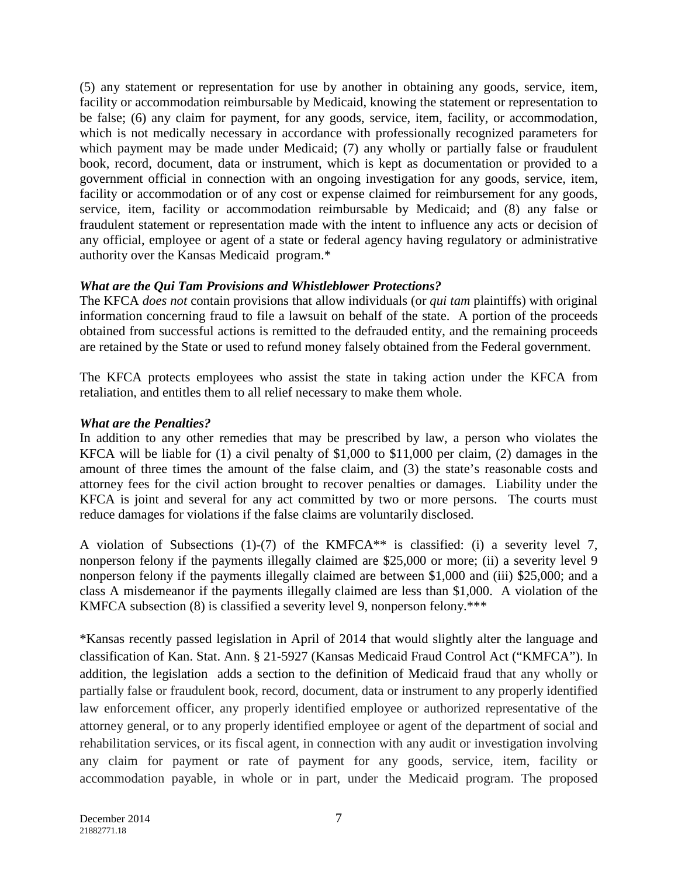(5) any statement or representation for use by another in obtaining any goods, service, item, facility or accommodation reimbursable by Medicaid, knowing the statement or representation to be false; (6) any claim for payment, for any goods, service, item, facility, or accommodation, which is not medically necessary in accordance with professionally recognized parameters for which payment may be made under Medicaid; (7) any wholly or partially false or fraudulent book, record, document, data or instrument, which is kept as documentation or provided to a government official in connection with an ongoing investigation for any goods, service, item, facility or accommodation or of any cost or expense claimed for reimbursement for any goods, service, item, facility or accommodation reimbursable by Medicaid; and (8) any false or fraudulent statement or representation made with the intent to influence any acts or decision of any official, employee or agent of a state or federal agency having regulatory or administrative authority over the Kansas Medicaid program.\*

### *What are the Qui Tam Provisions and Whistleblower Protections?*

The KFCA *does not* contain provisions that allow individuals (or *qui tam* plaintiffs) with original information concerning fraud to file a lawsuit on behalf of the state. A portion of the proceeds obtained from successful actions is remitted to the defrauded entity, and the remaining proceeds are retained by the State or used to refund money falsely obtained from the Federal government.

The KFCA protects employees who assist the state in taking action under the KFCA from retaliation, and entitles them to all relief necessary to make them whole.

### *What are the Penalties?*

In addition to any other remedies that may be prescribed by law, a person who violates the KFCA will be liable for (1) a civil penalty of \$1,000 to \$11,000 per claim, (2) damages in the amount of three times the amount of the false claim, and (3) the state's reasonable costs and attorney fees for the civil action brought to recover penalties or damages. Liability under the KFCA is joint and several for any act committed by two or more persons. The courts must reduce damages for violations if the false claims are voluntarily disclosed.

A violation of Subsections (1)-(7) of the KMFCA\*\* is classified: (i) a severity level 7, nonperson felony if the payments illegally claimed are \$25,000 or more; (ii) a severity level 9 nonperson felony if the payments illegally claimed are between \$1,000 and (iii) \$25,000; and a class A misdemeanor if the payments illegally claimed are less than \$1,000. A violation of the KMFCA subsection (8) is classified a severity level 9, nonperson felony.\*\*\*

\*Kansas recently passed legislation in April of 2014 that would slightly alter the language and classification of Kan. Stat. Ann. § 21-5927 (Kansas Medicaid Fraud Control Act ("KMFCA"). In addition, the legislation adds a section to the definition of Medicaid fraud that any wholly or partially false or fraudulent book, record, document, data or instrument to any properly identified law enforcement officer, any properly identified employee or authorized representative of the attorney general, or to any properly identified employee or agent of the department of social and rehabilitation services, or its fiscal agent, in connection with any audit or investigation involving any claim for payment or rate of payment for any goods, service, item, facility or accommodation payable, in whole or in part, under the Medicaid program. The proposed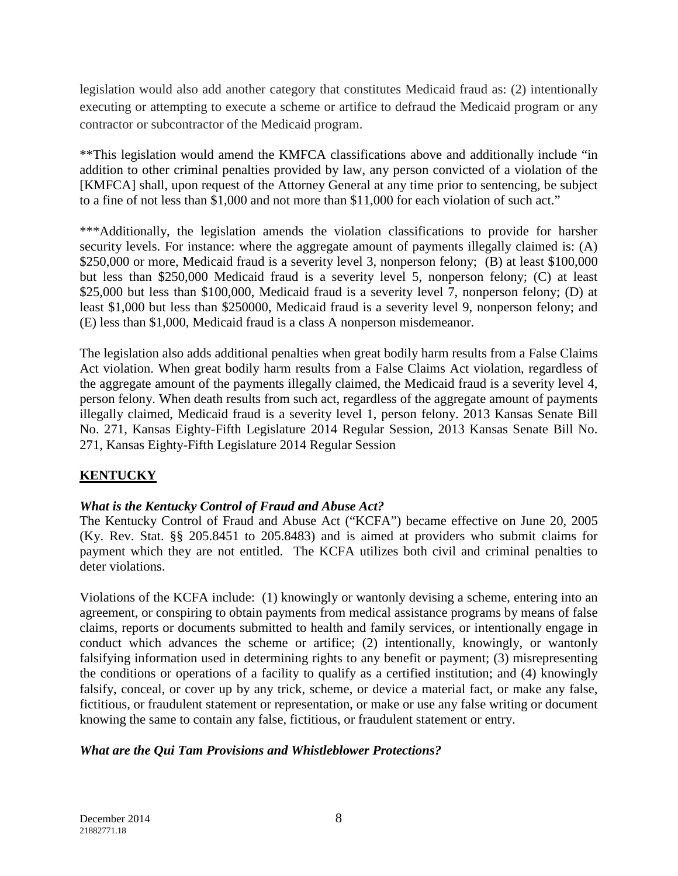legislation would also add another category that constitutes Medicaid fraud as: (2) intentionally executing or attempting to execute a scheme or artifice to defraud the Medicaid program or any contractor or subcontractor of the Medicaid program.

\*\*This legislation would amend the KMFCA classifications above and additionally include "in addition to other criminal penalties provided by law, any person convicted of a violation of the [KMFCA] shall, upon request of the Attorney General at any time prior to sentencing, be subject to a fine of not less than \$1,000 and not more than \$11,000 for each violation of such act."

\*\*\*Additionally, the legislation amends the violation classifications to provide for harsher security levels. For instance: where the aggregate amount of payments illegally claimed is: (A) \$250,000 or more, Medicaid fraud is a severity level 3, nonperson felony; (B) at least \$100,000 but less than \$250,000 Medicaid fraud is a severity level 5, nonperson felony; (C) at least \$25,000 but less than \$100,000, Medicaid fraud is a severity level 7, nonperson felony; (D) at least \$1,000 but less than \$250000, Medicaid fraud is a severity level 9, nonperson felony; and (E) less than \$1,000, Medicaid fraud is a class A nonperson misdemeanor.

The legislation also adds additional penalties when great bodily harm results from a False Claims Act violation. When great bodily harm results from a False Claims Act violation, regardless of the aggregate amount of the payments illegally claimed, the Medicaid fraud is a severity level 4, person felony. When death results from such act, regardless of the aggregate amount of payments illegally claimed, Medicaid fraud is a severity level 1, person felony. 2013 Kansas Senate Bill No. 271, Kansas Eighty-Fifth Legislature 2014 Regular Session, 2013 Kansas Senate Bill No. 271, Kansas Eighty-Fifth Legislature 2014 Regular Session

# **KENTUCKY**

### *What is the Kentucky Control of Fraud and Abuse Act?*

The Kentucky Control of Fraud and Abuse Act ("KCFA") became effective on June 20, 2005 (Ky. Rev. Stat. §§ 205.8451 to 205.8483) and is aimed at providers who submit claims for payment which they are not entitled. The KCFA utilizes both civil and criminal penalties to deter violations.

Violations of the KCFA include: (1) knowingly or wantonly devising a scheme, entering into an agreement, or conspiring to obtain payments from medical assistance programs by means of false claims, reports or documents submitted to health and family services, or intentionally engage in conduct which advances the scheme or artifice; (2) intentionally, knowingly, or wantonly falsifying information used in determining rights to any benefit or payment; (3) misrepresenting the conditions or operations of a facility to qualify as a certified institution; and (4) knowingly falsify, conceal, or cover up by any trick, scheme, or device a material fact, or make any false, fictitious, or fraudulent statement or representation, or make or use any false writing or document knowing the same to contain any false, fictitious, or fraudulent statement or entry.

### *What are the Qui Tam Provisions and Whistleblower Protections?*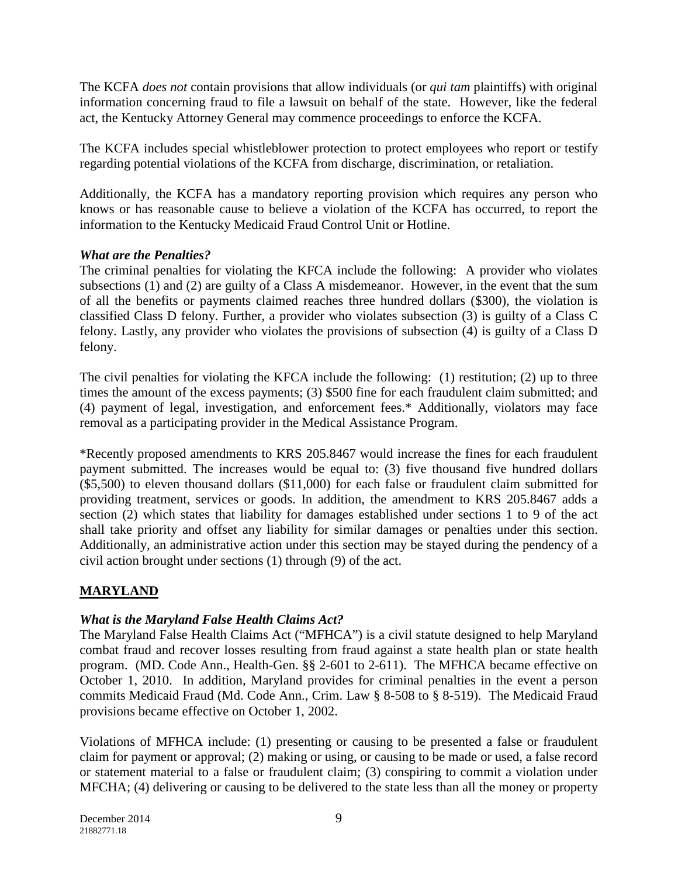The KCFA *does not* contain provisions that allow individuals (or *qui tam* plaintiffs) with original information concerning fraud to file a lawsuit on behalf of the state. However, like the federal act, the Kentucky Attorney General may commence proceedings to enforce the KCFA.

The KCFA includes special whistleblower protection to protect employees who report or testify regarding potential violations of the KCFA from discharge, discrimination, or retaliation.

Additionally, the KCFA has a mandatory reporting provision which requires any person who knows or has reasonable cause to believe a violation of the KCFA has occurred, to report the information to the Kentucky Medicaid Fraud Control Unit or Hotline.

## *What are the Penalties?*

The criminal penalties for violating the KFCA include the following: A provider who violates subsections (1) and (2) are guilty of a Class A misdemeanor. However, in the event that the sum of all the benefits or payments claimed reaches three hundred dollars (\$300), the violation is classified Class D felony. Further, a provider who violates subsection (3) is guilty of a Class C felony. Lastly, any provider who violates the provisions of subsection (4) is guilty of a Class D felony.

The civil penalties for violating the KFCA include the following: (1) restitution; (2) up to three times the amount of the excess payments; (3) \$500 fine for each fraudulent claim submitted; and (4) payment of legal, investigation, and enforcement fees.\* Additionally, violators may face removal as a participating provider in the Medical Assistance Program.

\*Recently proposed amendments to KRS 205.8467 would increase the fines for each fraudulent payment submitted. The increases would be equal to: (3) five thousand five hundred dollars (\$5,500) to eleven thousand dollars (\$11,000) for each false or fraudulent claim submitted for providing treatment, services or goods. In addition, the amendment to KRS 205.8467 adds a section (2) which states that liability for damages established under sections 1 to 9 of the act shall take priority and offset any liability for similar damages or penalties under this section. Additionally, an administrative action under this section may be stayed during the pendency of a civil action brought under sections (1) through (9) of the act.

# **MARYLAND**

# *What is the Maryland False Health Claims Act?*

The Maryland False Health Claims Act ("MFHCA") is a civil statute designed to help Maryland combat fraud and recover losses resulting from fraud against a state health plan or state health program. (MD. Code Ann., Health-Gen. §§ 2-601 to 2-611). The MFHCA became effective on October 1, 2010. In addition, Maryland provides for criminal penalties in the event a person commits Medicaid Fraud (Md. Code Ann., Crim. Law § 8-508 to § 8-519). The Medicaid Fraud provisions became effective on October 1, 2002.

Violations of MFHCA include: (1) presenting or causing to be presented a false or fraudulent claim for payment or approval; (2) making or using, or causing to be made or used, a false record or statement material to a false or fraudulent claim; (3) conspiring to commit a violation under MFCHA; (4) delivering or causing to be delivered to the state less than all the money or property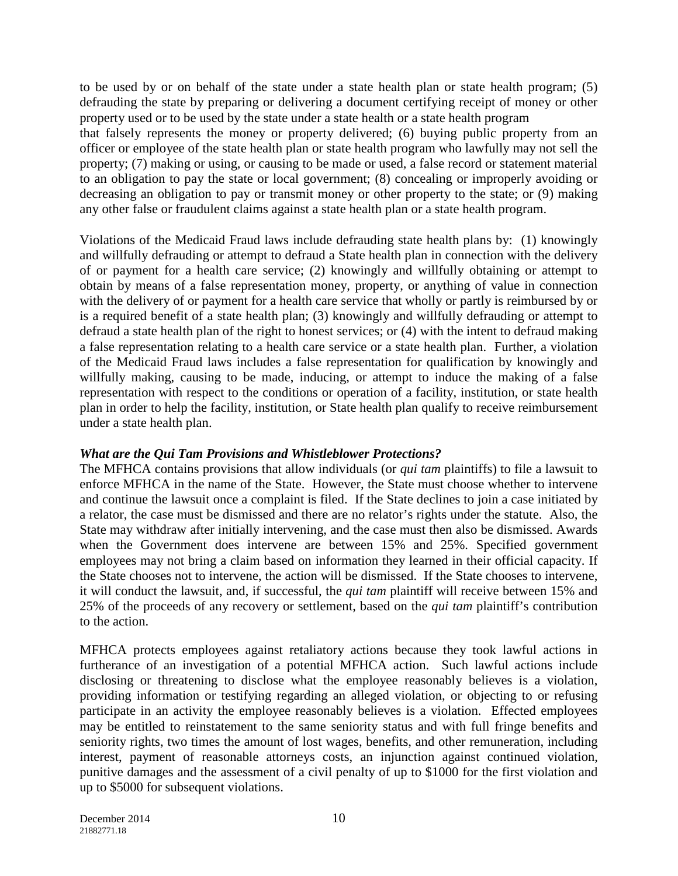to be used by or on behalf of the state under a state health plan or state health program; (5) defrauding the state by preparing or delivering a document certifying receipt of money or other property used or to be used by the state under a state health or a state health program

that falsely represents the money or property delivered; (6) buying public property from an officer or employee of the state health plan or state health program who lawfully may not sell the property; (7) making or using, or causing to be made or used, a false record or statement material to an obligation to pay the state or local government; (8) concealing or improperly avoiding or decreasing an obligation to pay or transmit money or other property to the state; or (9) making any other false or fraudulent claims against a state health plan or a state health program.

Violations of the Medicaid Fraud laws include defrauding state health plans by: (1) knowingly and willfully defrauding or attempt to defraud a State health plan in connection with the delivery of or payment for a health care service; (2) knowingly and willfully obtaining or attempt to obtain by means of a false representation money, property, or anything of value in connection with the delivery of or payment for a health care service that wholly or partly is reimbursed by or is a required benefit of a state health plan; (3) knowingly and willfully defrauding or attempt to defraud a state health plan of the right to honest services; or (4) with the intent to defraud making a false representation relating to a health care service or a state health plan. Further, a violation of the Medicaid Fraud laws includes a false representation for qualification by knowingly and willfully making, causing to be made, inducing, or attempt to induce the making of a false representation with respect to the conditions or operation of a facility, institution, or state health plan in order to help the facility, institution, or State health plan qualify to receive reimbursement under a state health plan.

### *What are the Qui Tam Provisions and Whistleblower Protections?*

The MFHCA contains provisions that allow individuals (or *qui tam* plaintiffs) to file a lawsuit to enforce MFHCA in the name of the State. However, the State must choose whether to intervene and continue the lawsuit once a complaint is filed. If the State declines to join a case initiated by a relator, the case must be dismissed and there are no relator's rights under the statute. Also, the State may withdraw after initially intervening, and the case must then also be dismissed. Awards when the Government does intervene are between 15% and 25%. Specified government employees may not bring a claim based on information they learned in their official capacity. If the State chooses not to intervene, the action will be dismissed. If the State chooses to intervene, it will conduct the lawsuit, and, if successful, the *qui tam* plaintiff will receive between 15% and 25% of the proceeds of any recovery or settlement, based on the *qui tam* plaintiff's contribution to the action.

MFHCA protects employees against retaliatory actions because they took lawful actions in furtherance of an investigation of a potential MFHCA action. Such lawful actions include disclosing or threatening to disclose what the employee reasonably believes is a violation, providing information or testifying regarding an alleged violation, or objecting to or refusing participate in an activity the employee reasonably believes is a violation. Effected employees may be entitled to reinstatement to the same seniority status and with full fringe benefits and seniority rights, two times the amount of lost wages, benefits, and other remuneration, including interest, payment of reasonable attorneys costs, an injunction against continued violation, punitive damages and the assessment of a civil penalty of up to \$1000 for the first violation and up to \$5000 for subsequent violations.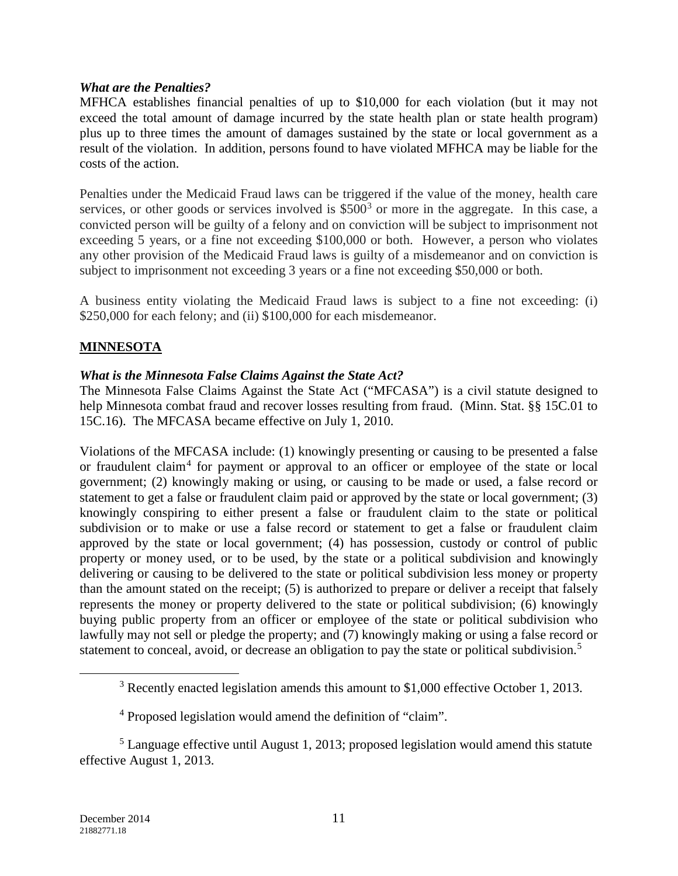#### *What are the Penalties?*

MFHCA establishes financial penalties of up to \$10,000 for each violation (but it may not exceed the total amount of damage incurred by the state health plan or state health program) plus up to three times the amount of damages sustained by the state or local government as a result of the violation. In addition, persons found to have violated MFHCA may be liable for the costs of the action.

Penalties under the Medicaid Fraud laws can be triggered if the value of the money, health care services, or other goods or services involved is  $$500<sup>3</sup>$  $$500<sup>3</sup>$  $$500<sup>3</sup>$  or more in the aggregate. In this case, a convicted person will be guilty of a felony and on conviction will be subject to imprisonment not exceeding 5 years, or a fine not exceeding \$100,000 or both. However, a person who violates any other provision of the Medicaid Fraud laws is guilty of a misdemeanor and on conviction is subject to imprisonment not exceeding 3 years or a fine not exceeding \$50,000 or both.

A business entity violating the Medicaid Fraud laws is subject to a fine not exceeding: (i) \$250,000 for each felony; and (ii) \$100,000 for each misdemeanor.

## **MINNESOTA**

### *What is the Minnesota False Claims Against the State Act?*

The Minnesota False Claims Against the State Act ("MFCASA") is a civil statute designed to help Minnesota combat fraud and recover losses resulting from fraud. (Minn. Stat. §§ 15C.01 to 15C.16). The MFCASA became effective on July 1, 2010.

Violations of the MFCASA include: (1) knowingly presenting or causing to be presented a false or fraudulent claim<sup>[4](#page-10-1)</sup> for payment or approval to an officer or employee of the state or local government; (2) knowingly making or using, or causing to be made or used, a false record or statement to get a false or fraudulent claim paid or approved by the state or local government; (3) knowingly conspiring to either present a false or fraudulent claim to the state or political subdivision or to make or use a false record or statement to get a false or fraudulent claim approved by the state or local government; (4) has possession, custody or control of public property or money used, or to be used, by the state or a political subdivision and knowingly delivering or causing to be delivered to the state or political subdivision less money or property than the amount stated on the receipt; (5) is authorized to prepare or deliver a receipt that falsely represents the money or property delivered to the state or political subdivision; (6) knowingly buying public property from an officer or employee of the state or political subdivision who lawfully may not sell or pledge the property; and (7) knowingly making or using a false record or statement to conceal, avoid, or decrease an obligation to pay the state or political subdivision.<sup>[5](#page-10-2)</sup>

<span id="page-10-0"></span> $\overline{a}$ 

<sup>&</sup>lt;sup>3</sup> Recently enacted legislation amends this amount to \$1,000 effective October 1, 2013.

<sup>4</sup> Proposed legislation would amend the definition of "claim".

<span id="page-10-2"></span><span id="page-10-1"></span><sup>&</sup>lt;sup>5</sup> Language effective until August 1, 2013; proposed legislation would amend this statute effective August 1, 2013.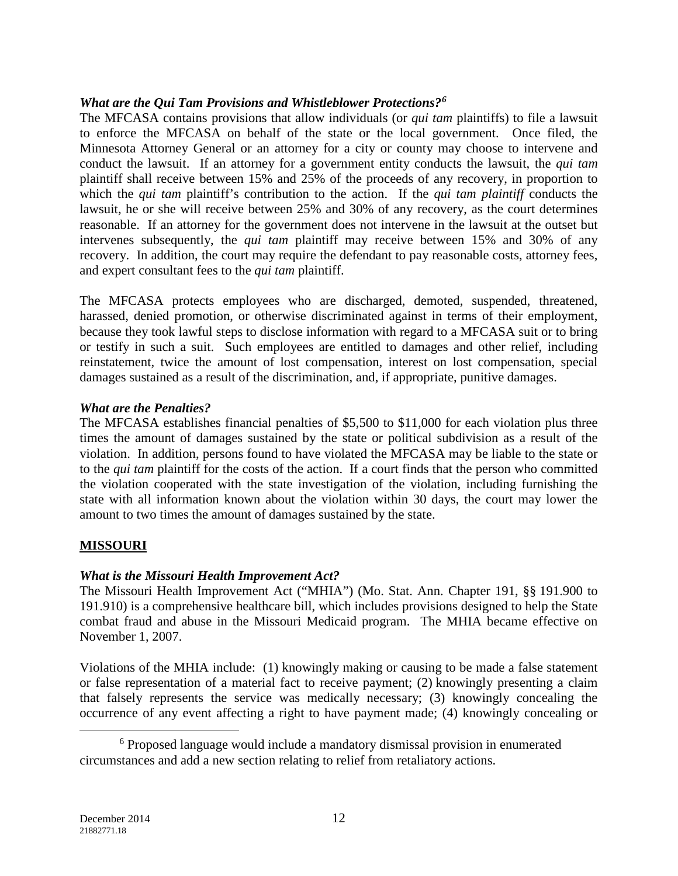### *What are the Qui Tam Provisions and Whistleblower Protections?[6](#page-11-0)*

The MFCASA contains provisions that allow individuals (or *qui tam* plaintiffs) to file a lawsuit to enforce the MFCASA on behalf of the state or the local government. Once filed, the Minnesota Attorney General or an attorney for a city or county may choose to intervene and conduct the lawsuit. If an attorney for a government entity conducts the lawsuit, the *qui tam* plaintiff shall receive between 15% and 25% of the proceeds of any recovery, in proportion to which the *qui tam* plaintiff's contribution to the action. If the *qui tam plaintiff* conducts the lawsuit, he or she will receive between 25% and 30% of any recovery, as the court determines reasonable. If an attorney for the government does not intervene in the lawsuit at the outset but intervenes subsequently, the *qui tam* plaintiff may receive between 15% and 30% of any recovery. In addition, the court may require the defendant to pay reasonable costs, attorney fees, and expert consultant fees to the *qui tam* plaintiff.

The MFCASA protects employees who are discharged, demoted, suspended, threatened, harassed, denied promotion, or otherwise discriminated against in terms of their employment, because they took lawful steps to disclose information with regard to a MFCASA suit or to bring or testify in such a suit. Such employees are entitled to damages and other relief, including reinstatement, twice the amount of lost compensation, interest on lost compensation, special damages sustained as a result of the discrimination, and, if appropriate, punitive damages.

#### *What are the Penalties?*

The MFCASA establishes financial penalties of \$5,500 to \$11,000 for each violation plus three times the amount of damages sustained by the state or political subdivision as a result of the violation. In addition, persons found to have violated the MFCASA may be liable to the state or to the *qui tam* plaintiff for the costs of the action. If a court finds that the person who committed the violation cooperated with the state investigation of the violation, including furnishing the state with all information known about the violation within 30 days, the court may lower the amount to two times the amount of damages sustained by the state.

### **MISSOURI**

### *What is the Missouri Health Improvement Act?*

The Missouri Health Improvement Act ("MHIA") (Mo. Stat. Ann. Chapter 191, §§ 191.900 to 191.910) is a comprehensive healthcare bill, which includes provisions designed to help the State combat fraud and abuse in the Missouri Medicaid program. The MHIA became effective on November 1, 2007.

Violations of the MHIA include: (1) knowingly making or causing to be made a false statement or false representation of a material fact to receive payment; (2) knowingly presenting a claim that falsely represents the service was medically necessary; (3) knowingly concealing the occurrence of any event affecting a right to have payment made; (4) knowingly concealing or

<span id="page-11-0"></span><sup>&</sup>lt;sup>6</sup> Proposed language would include a mandatory dismissal provision in enumerated circumstances and add a new section relating to relief from retaliatory actions.  $\overline{a}$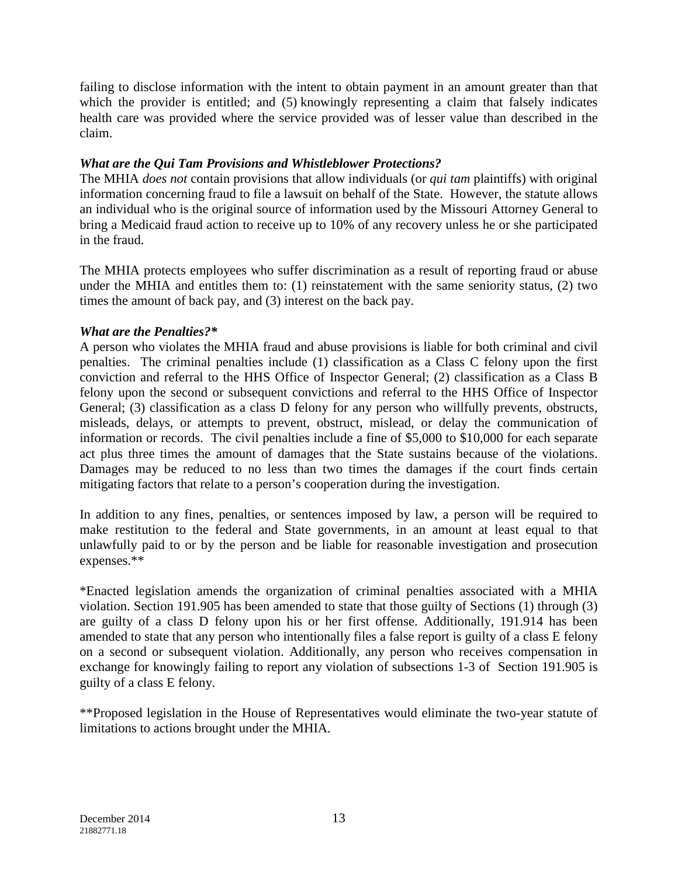failing to disclose information with the intent to obtain payment in an amount greater than that which the provider is entitled; and (5) knowingly representing a claim that falsely indicates health care was provided where the service provided was of lesser value than described in the claim.

## *What are the Qui Tam Provisions and Whistleblower Protections?*

The MHIA *does not* contain provisions that allow individuals (or *qui tam* plaintiffs) with original information concerning fraud to file a lawsuit on behalf of the State. However, the statute allows an individual who is the original source of information used by the Missouri Attorney General to bring a Medicaid fraud action to receive up to 10% of any recovery unless he or she participated in the fraud.

The MHIA protects employees who suffer discrimination as a result of reporting fraud or abuse under the MHIA and entitles them to: (1) reinstatement with the same seniority status, (2) two times the amount of back pay, and (3) interest on the back pay.

### *What are the Penalties?\**

A person who violates the MHIA fraud and abuse provisions is liable for both criminal and civil penalties. The criminal penalties include (1) classification as a Class C felony upon the first conviction and referral to the HHS Office of Inspector General; (2) classification as a Class B felony upon the second or subsequent convictions and referral to the HHS Office of Inspector General; (3) classification as a class D felony for any person who willfully prevents, obstructs, misleads, delays, or attempts to prevent, obstruct, mislead, or delay the communication of information or records. The civil penalties include a fine of \$5,000 to \$10,000 for each separate act plus three times the amount of damages that the State sustains because of the violations. Damages may be reduced to no less than two times the damages if the court finds certain mitigating factors that relate to a person's cooperation during the investigation.

In addition to any fines, penalties, or sentences imposed by law, a person will be required to make restitution to the federal and State governments, in an amount at least equal to that unlawfully paid to or by the person and be liable for reasonable investigation and prosecution expenses.\*\*

\*Enacted legislation amends the organization of criminal penalties associated with a MHIA violation. Section 191.905 has been amended to state that those guilty of Sections (1) through (3) are guilty of a class D felony upon his or her first offense. Additionally, 191.914 has been amended to state that any person who intentionally files a false report is guilty of a class E felony on a second or subsequent violation. Additionally, any person who receives compensation in exchange for knowingly failing to report any violation of subsections 1-3 of Section 191.905 is guilty of a class E felony.

\*\*Proposed legislation in the House of Representatives would eliminate the two-year statute of limitations to actions brought under the MHIA.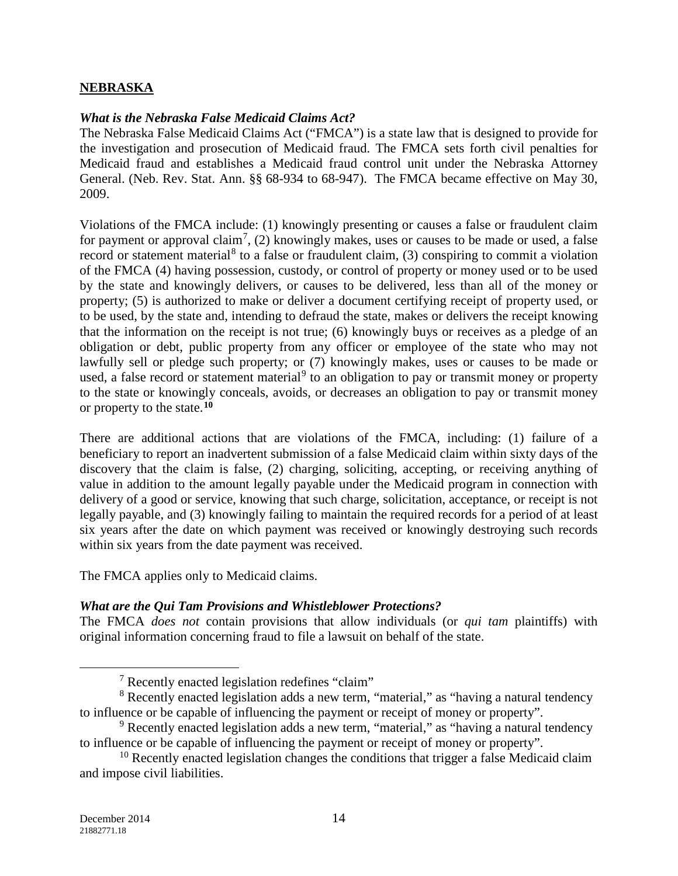#### **NEBRASKA**

#### *What is the Nebraska False Medicaid Claims Act?*

The Nebraska False Medicaid Claims Act ("FMCA") is a state law that is designed to provide for the investigation and prosecution of Medicaid fraud. The FMCA sets forth civil penalties for Medicaid fraud and establishes a Medicaid fraud control unit under the Nebraska Attorney General. (Neb. Rev. Stat. Ann. §§ 68-934 to 68-947). The FMCA became effective on May 30, 2009.

Violations of the FMCA include: (1) knowingly presenting or causes a false or fraudulent claim for payment or approval claim<sup>[7](#page-13-0)</sup>, (2) knowingly makes, uses or causes to be made or used, a false record or statement material<sup>[8](#page-13-1)</sup> to a false or fraudulent claim,  $(3)$  conspiring to commit a violation of the FMCA (4) having possession, custody, or control of property or money used or to be used by the state and knowingly delivers, or causes to be delivered, less than all of the money or property; (5) is authorized to make or deliver a document certifying receipt of property used, or to be used, by the state and, intending to defraud the state, makes or delivers the receipt knowing that the information on the receipt is not true; (6) knowingly buys or receives as a pledge of an obligation or debt, public property from any officer or employee of the state who may not lawfully sell or pledge such property; or (7) knowingly makes, uses or causes to be made or used, a false record or statement material<sup>[9](#page-13-2)</sup> to an obligation to pay or transmit money or property to the state or knowingly conceals, avoids, or decreases an obligation to pay or transmit money or property to the state.**[10](#page-13-3)**

There are additional actions that are violations of the FMCA, including: (1) failure of a beneficiary to report an inadvertent submission of a false Medicaid claim within sixty days of the discovery that the claim is false, (2) charging, soliciting, accepting, or receiving anything of value in addition to the amount legally payable under the Medicaid program in connection with delivery of a good or service, knowing that such charge, solicitation, acceptance, or receipt is not legally payable, and (3) knowingly failing to maintain the required records for a period of at least six years after the date on which payment was received or knowingly destroying such records within six years from the date payment was received.

The FMCA applies only to Medicaid claims.

#### *What are the Qui Tam Provisions and Whistleblower Protections?*

The FMCA *does not* contain provisions that allow individuals (or *qui tam* plaintiffs) with original information concerning fraud to file a lawsuit on behalf of the state.

 $\overline{a}$ 

<sup>7</sup> Recently enacted legislation redefines "claim"

<span id="page-13-1"></span><span id="page-13-0"></span><sup>&</sup>lt;sup>8</sup> Recently enacted legislation adds a new term, "material," as "having a natural tendency to influence or be capable of influencing the payment or receipt of money or property".

<span id="page-13-2"></span><sup>9</sup> Recently enacted legislation adds a new term, "material," as "having a natural tendency to influence or be capable of influencing the payment or receipt of money or property".

<span id="page-13-3"></span> $10$  Recently enacted legislation changes the conditions that trigger a false Medicaid claim and impose civil liabilities.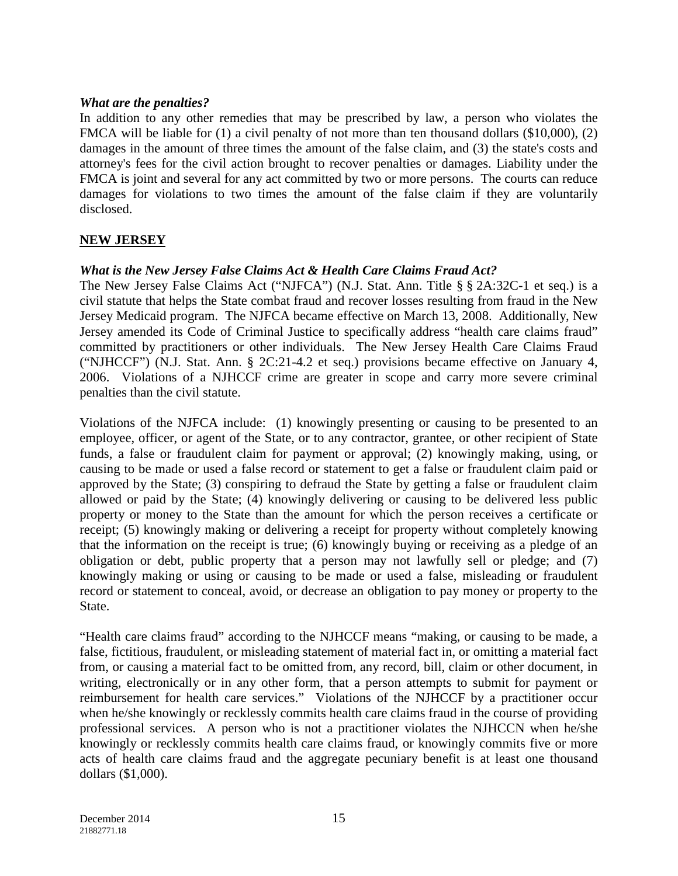#### *What are the penalties?*

In addition to any other remedies that may be prescribed by law, a person who violates the FMCA will be liable for (1) a civil penalty of not more than ten thousand dollars (\$10,000), (2) damages in the amount of three times the amount of the false claim, and (3) the state's costs and attorney's fees for the civil action brought to recover penalties or damages. Liability under the FMCA is joint and several for any act committed by two or more persons. The courts can reduce damages for violations to two times the amount of the false claim if they are voluntarily disclosed.

## **NEW JERSEY**

### *What is the New Jersey False Claims Act & Health Care Claims Fraud Act?*

The New Jersey False Claims Act ("NJFCA") (N.J. Stat. Ann. Title § § 2A:32C-1 et seq.) is a civil statute that helps the State combat fraud and recover losses resulting from fraud in the New Jersey Medicaid program. The NJFCA became effective on March 13, 2008. Additionally, New Jersey amended its Code of Criminal Justice to specifically address "health care claims fraud" committed by practitioners or other individuals. The New Jersey Health Care Claims Fraud ("NJHCCF") (N.J. Stat. Ann. § 2C:21-4.2 et seq.) provisions became effective on January 4, 2006. Violations of a NJHCCF crime are greater in scope and carry more severe criminal penalties than the civil statute.

Violations of the NJFCA include: (1) knowingly presenting or causing to be presented to an employee, officer, or agent of the State, or to any contractor, grantee, or other recipient of State funds, a false or fraudulent claim for payment or approval; (2) knowingly making, using, or causing to be made or used a false record or statement to get a false or fraudulent claim paid or approved by the State; (3) conspiring to defraud the State by getting a false or fraudulent claim allowed or paid by the State; (4) knowingly delivering or causing to be delivered less public property or money to the State than the amount for which the person receives a certificate or receipt; (5) knowingly making or delivering a receipt for property without completely knowing that the information on the receipt is true; (6) knowingly buying or receiving as a pledge of an obligation or debt, public property that a person may not lawfully sell or pledge; and (7) knowingly making or using or causing to be made or used a false, misleading or fraudulent record or statement to conceal, avoid, or decrease an obligation to pay money or property to the State.

"Health care claims fraud" according to the NJHCCF means "making, or causing to be made, a false, fictitious, fraudulent, or misleading statement of material fact in, or omitting a material fact from, or causing a material fact to be omitted from, any record, bill, claim or other document, in writing, electronically or in any other form, that a person attempts to submit for payment or reimbursement for health care services." Violations of the NJHCCF by a practitioner occur when he/she knowingly or recklessly commits health care claims fraud in the course of providing professional services. A person who is not a practitioner violates the NJHCCN when he/she knowingly or recklessly commits health care claims fraud, or knowingly commits five or more acts of health care claims fraud and the aggregate pecuniary benefit is at least one thousand dollars (\$1,000).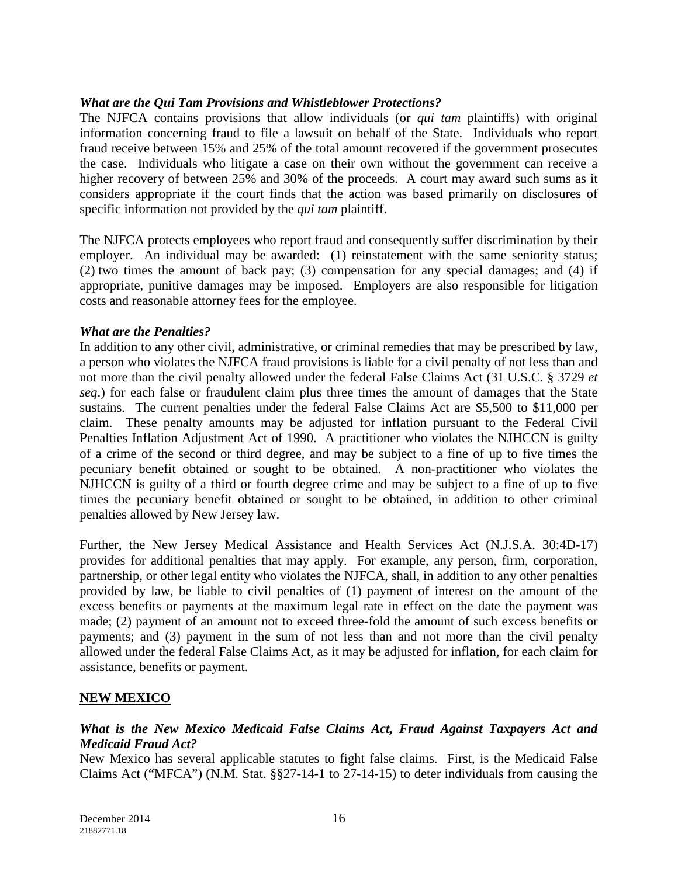#### *What are the Qui Tam Provisions and Whistleblower Protections?*

The NJFCA contains provisions that allow individuals (or *qui tam* plaintiffs) with original information concerning fraud to file a lawsuit on behalf of the State. Individuals who report fraud receive between 15% and 25% of the total amount recovered if the government prosecutes the case. Individuals who litigate a case on their own without the government can receive a higher recovery of between 25% and 30% of the proceeds. A court may award such sums as it considers appropriate if the court finds that the action was based primarily on disclosures of specific information not provided by the *qui tam* plaintiff.

The NJFCA protects employees who report fraud and consequently suffer discrimination by their employer. An individual may be awarded: (1) reinstatement with the same seniority status; (2) two times the amount of back pay; (3) compensation for any special damages; and (4) if appropriate, punitive damages may be imposed. Employers are also responsible for litigation costs and reasonable attorney fees for the employee.

#### *What are the Penalties?*

In addition to any other civil, administrative, or criminal remedies that may be prescribed by law, a person who violates the NJFCA fraud provisions is liable for a civil penalty of not less than and not more than the civil penalty allowed under the federal False Claims Act (31 U.S.C. § 3729 *et seq*.) for each false or fraudulent claim plus three times the amount of damages that the State sustains. The current penalties under the federal False Claims Act are \$5,500 to \$11,000 per claim. These penalty amounts may be adjusted for inflation pursuant to the Federal Civil Penalties Inflation Adjustment Act of 1990. A practitioner who violates the NJHCCN is guilty of a crime of the second or third degree, and may be subject to a fine of up to five times the pecuniary benefit obtained or sought to be obtained. A non-practitioner who violates the NJHCCN is guilty of a third or fourth degree crime and may be subject to a fine of up to five times the pecuniary benefit obtained or sought to be obtained, in addition to other criminal penalties allowed by New Jersey law.

Further, the New Jersey Medical Assistance and Health Services Act (N.J.S.A. 30:4D-17) provides for additional penalties that may apply. For example, any person, firm, corporation, partnership, or other legal entity who violates the NJFCA, shall, in addition to any other penalties provided by law, be liable to civil penalties of (1) payment of interest on the amount of the excess benefits or payments at the maximum legal rate in effect on the date the payment was made; (2) payment of an amount not to exceed three-fold the amount of such excess benefits or payments; and (3) payment in the sum of not less than and not more than the civil penalty allowed under the federal False Claims Act, as it may be adjusted for inflation, for each claim for assistance, benefits or payment.

#### **NEW MEXICO**

### *What is the New Mexico Medicaid False Claims Act, Fraud Against Taxpayers Act and Medicaid Fraud Act?*

New Mexico has several applicable statutes to fight false claims. First, is the Medicaid False Claims Act ("MFCA") (N.M. Stat. §§27-14-1 to 27-14-15) to deter individuals from causing the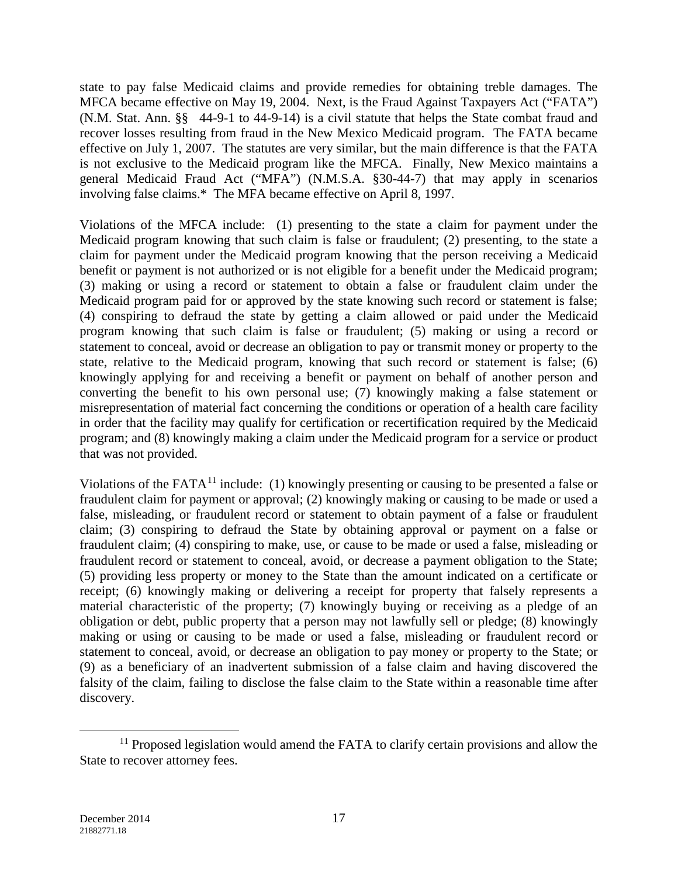state to pay false Medicaid claims and provide remedies for obtaining treble damages. The MFCA became effective on May 19, 2004. Next, is the Fraud Against Taxpayers Act ("FATA") (N.M. Stat. Ann. §§ 44-9-1 to 44-9-14) is a civil statute that helps the State combat fraud and recover losses resulting from fraud in the New Mexico Medicaid program. The FATA became effective on July 1, 2007. The statutes are very similar, but the main difference is that the FATA is not exclusive to the Medicaid program like the MFCA. Finally, New Mexico maintains a general Medicaid Fraud Act ("MFA") (N.M.S.A. §30-44-7) that may apply in scenarios involving false claims.\* The MFA became effective on April 8, 1997.

Violations of the MFCA include: (1) presenting to the state a claim for payment under the Medicaid program knowing that such claim is false or fraudulent; (2) presenting, to the state a claim for payment under the Medicaid program knowing that the person receiving a Medicaid benefit or payment is not authorized or is not eligible for a benefit under the Medicaid program; (3) making or using a record or statement to obtain a false or fraudulent claim under the Medicaid program paid for or approved by the state knowing such record or statement is false; (4) conspiring to defraud the state by getting a claim allowed or paid under the Medicaid program knowing that such claim is false or fraudulent; (5) making or using a record or statement to conceal, avoid or decrease an obligation to pay or transmit money or property to the state, relative to the Medicaid program, knowing that such record or statement is false; (6) knowingly applying for and receiving a benefit or payment on behalf of another person and converting the benefit to his own personal use; (7) knowingly making a false statement or misrepresentation of material fact concerning the conditions or operation of a health care facility in order that the facility may qualify for certification or recertification required by the Medicaid program; and (8) knowingly making a claim under the Medicaid program for a service or product that was not provided.

Violations of the FATA<sup>[11](#page-16-0)</sup> include: (1) knowingly presenting or causing to be presented a false or fraudulent claim for payment or approval; (2) knowingly making or causing to be made or used a false, misleading, or fraudulent record or statement to obtain payment of a false or fraudulent claim; (3) conspiring to defraud the State by obtaining approval or payment on a false or fraudulent claim; (4) conspiring to make, use, or cause to be made or used a false, misleading or fraudulent record or statement to conceal, avoid, or decrease a payment obligation to the State; (5) providing less property or money to the State than the amount indicated on a certificate or receipt; (6) knowingly making or delivering a receipt for property that falsely represents a material characteristic of the property; (7) knowingly buying or receiving as a pledge of an obligation or debt, public property that a person may not lawfully sell or pledge; (8) knowingly making or using or causing to be made or used a false, misleading or fraudulent record or statement to conceal, avoid, or decrease an obligation to pay money or property to the State; or (9) as a beneficiary of an inadvertent submission of a false claim and having discovered the falsity of the claim, failing to disclose the false claim to the State within a reasonable time after discovery.

<span id="page-16-0"></span> $11$  Proposed legislation would amend the FATA to clarify certain provisions and allow the State to recover attorney fees.  $\overline{a}$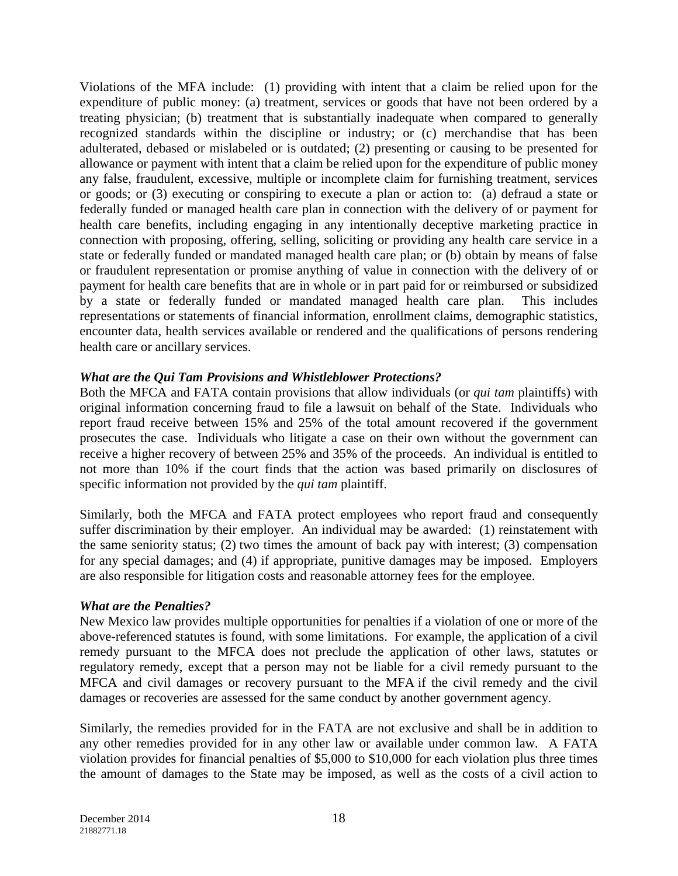Violations of the MFA include: (1) providing with intent that a claim be relied upon for the expenditure of public money: (a) treatment, services or goods that have not been ordered by a treating physician; (b) treatment that is substantially inadequate when compared to generally recognized standards within the discipline or industry; or (c) merchandise that has been adulterated, debased or mislabeled or is outdated; (2) presenting or causing to be presented for allowance or payment with intent that a claim be relied upon for the expenditure of public money any false, fraudulent, excessive, multiple or incomplete claim for furnishing treatment, services or goods; or (3) executing or conspiring to execute a plan or action to: (a) defraud a state or federally funded or managed health care plan in connection with the delivery of or payment for health care benefits, including engaging in any intentionally deceptive marketing practice in connection with proposing, offering, selling, soliciting or providing any health care service in a state or federally funded or mandated managed health care plan; or (b) obtain by means of false or fraudulent representation or promise anything of value in connection with the delivery of or payment for health care benefits that are in whole or in part paid for or reimbursed or subsidized by a state or federally funded or mandated managed health care plan. This includes representations or statements of financial information, enrollment claims, demographic statistics, encounter data, health services available or rendered and the qualifications of persons rendering health care or ancillary services.

### *What are the Qui Tam Provisions and Whistleblower Protections?*

Both the MFCA and FATA contain provisions that allow individuals (or *qui tam* plaintiffs) with original information concerning fraud to file a lawsuit on behalf of the State. Individuals who report fraud receive between 15% and 25% of the total amount recovered if the government prosecutes the case. Individuals who litigate a case on their own without the government can receive a higher recovery of between 25% and 35% of the proceeds. An individual is entitled to not more than 10% if the court finds that the action was based primarily on disclosures of specific information not provided by the *qui tam* plaintiff.

Similarly, both the MFCA and FATA protect employees who report fraud and consequently suffer discrimination by their employer. An individual may be awarded: (1) reinstatement with the same seniority status; (2) two times the amount of back pay with interest; (3) compensation for any special damages; and (4) if appropriate, punitive damages may be imposed. Employers are also responsible for litigation costs and reasonable attorney fees for the employee.

### *What are the Penalties?*

New Mexico law provides multiple opportunities for penalties if a violation of one or more of the above-referenced statutes is found, with some limitations. For example, the application of a civil remedy pursuant to the MFCA does not preclude the application of other laws, statutes or regulatory remedy, except that a person may not be liable for a civil remedy pursuant to the MFCA and civil damages or recovery pursuant to the MFA if the civil remedy and the civil damages or recoveries are assessed for the same conduct by another government agency.

Similarly, the remedies provided for in the FATA are not exclusive and shall be in addition to any other remedies provided for in any other law or available under common law. A FATA violation provides for financial penalties of \$5,000 to \$10,000 for each violation plus three times the amount of damages to the State may be imposed, as well as the costs of a civil action to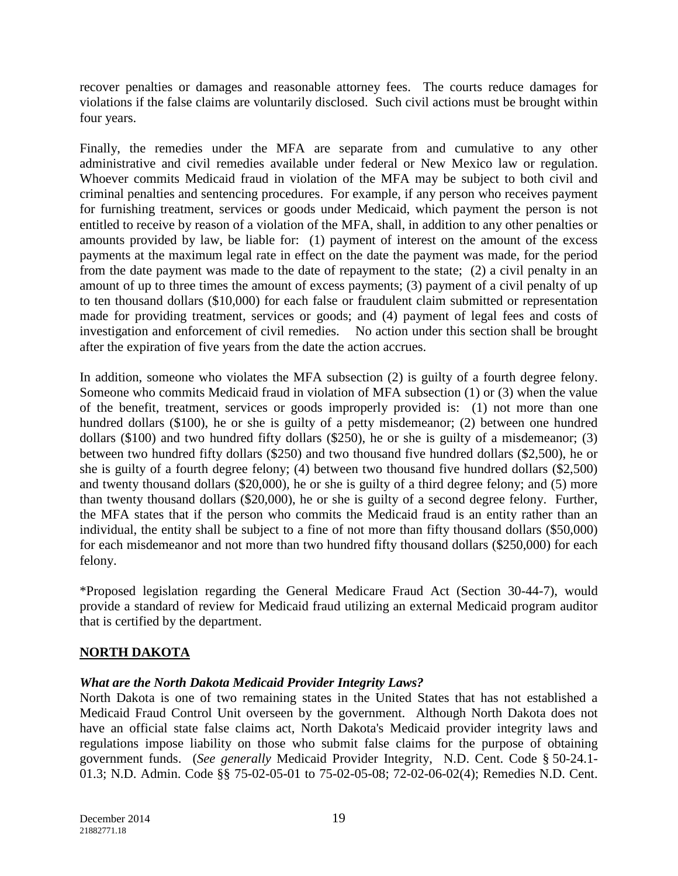recover penalties or damages and reasonable attorney fees. The courts reduce damages for violations if the false claims are voluntarily disclosed. Such civil actions must be brought within four years.

Finally, the remedies under the MFA are separate from and cumulative to any other administrative and civil remedies available under federal or New Mexico law or regulation. Whoever commits Medicaid fraud in violation of the MFA may be subject to both civil and criminal penalties and sentencing procedures. For example, if any person who receives payment for furnishing treatment, services or goods under Medicaid, which payment the person is not entitled to receive by reason of a violation of the MFA, shall, in addition to any other penalties or amounts provided by law, be liable for: (1) payment of interest on the amount of the excess payments at the maximum legal rate in effect on the date the payment was made, for the period from the date payment was made to the date of repayment to the state; (2) a civil penalty in an amount of up to three times the amount of excess payments; (3) payment of a civil penalty of up to ten thousand dollars (\$10,000) for each false or fraudulent claim submitted or representation made for providing treatment, services or goods; and (4) payment of legal fees and costs of investigation and enforcement of civil remedies. No action under this section shall be brought after the expiration of five years from the date the action accrues.

In addition, someone who violates the MFA subsection (2) is guilty of a fourth degree felony. Someone who commits Medicaid fraud in violation of MFA subsection (1) or (3) when the value of the benefit, treatment, services or goods improperly provided is: (1) not more than one hundred dollars (\$100), he or she is guilty of a petty misdemeanor; (2) between one hundred dollars (\$100) and two hundred fifty dollars (\$250), he or she is guilty of a misdemeanor; (3) between two hundred fifty dollars (\$250) and two thousand five hundred dollars (\$2,500), he or she is guilty of a fourth degree felony; (4) between two thousand five hundred dollars (\$2,500) and twenty thousand dollars (\$20,000), he or she is guilty of a third degree felony; and (5) more than twenty thousand dollars (\$20,000), he or she is guilty of a second degree felony. Further, the MFA states that if the person who commits the Medicaid fraud is an entity rather than an individual, the entity shall be subject to a fine of not more than fifty thousand dollars (\$50,000) for each misdemeanor and not more than two hundred fifty thousand dollars (\$250,000) for each felony.

\*Proposed legislation regarding the General Medicare Fraud Act (Section 30-44-7), would provide a standard of review for Medicaid fraud utilizing an external Medicaid program auditor that is certified by the department.

# **NORTH DAKOTA**

### *What are the North Dakota Medicaid Provider Integrity Laws?*

North Dakota is one of two remaining states in the United States that has not established a Medicaid Fraud Control Unit overseen by the government. Although North Dakota does not have an official state false claims act, North Dakota's Medicaid provider integrity laws and regulations impose liability on those who submit false claims for the purpose of obtaining government funds. (*See generally* Medicaid Provider Integrity, N.D. Cent. Code § 50-24.1- 01.3; N.D. Admin. Code §§ 75-02-05-01 to 75-02-05-08; 72-02-06-02(4); Remedies N.D. Cent.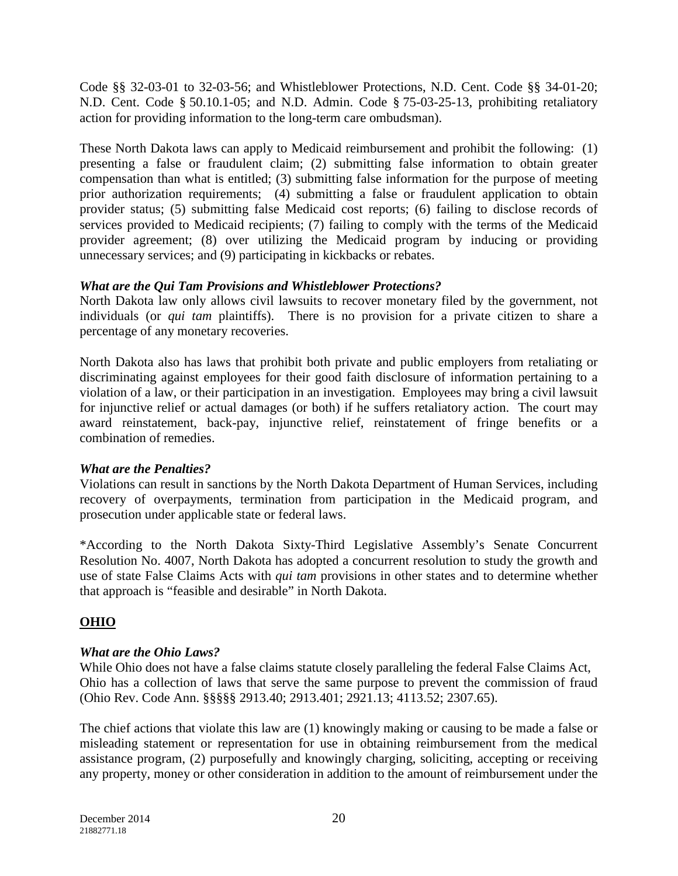Code §§ 32-03-01 to 32-03-56; and Whistleblower Protections, N.D. Cent. Code §§ 34-01-20; N.D. Cent. Code § 50.10.1-05; and N.D. Admin. Code § 75-03-25-13, prohibiting retaliatory action for providing information to the long-term care ombudsman).

These North Dakota laws can apply to Medicaid reimbursement and prohibit the following: (1) presenting a false or fraudulent claim; (2) submitting false information to obtain greater compensation than what is entitled; (3) submitting false information for the purpose of meeting prior authorization requirements; (4) submitting a false or fraudulent application to obtain provider status; (5) submitting false Medicaid cost reports; (6) failing to disclose records of services provided to Medicaid recipients; (7) failing to comply with the terms of the Medicaid provider agreement; (8) over utilizing the Medicaid program by inducing or providing unnecessary services; and (9) participating in kickbacks or rebates.

# *What are the Qui Tam Provisions and Whistleblower Protections?*

North Dakota law only allows civil lawsuits to recover monetary filed by the government, not individuals (or *qui tam* plaintiffs). There is no provision for a private citizen to share a percentage of any monetary recoveries.

North Dakota also has laws that prohibit both private and public employers from retaliating or discriminating against employees for their good faith disclosure of information pertaining to a violation of a law, or their participation in an investigation. Employees may bring a civil lawsuit for injunctive relief or actual damages (or both) if he suffers retaliatory action. The court may award reinstatement, back-pay, injunctive relief, reinstatement of fringe benefits or a combination of remedies.

# *What are the Penalties?*

Violations can result in sanctions by the North Dakota Department of Human Services, including recovery of overpayments, termination from participation in the Medicaid program, and prosecution under applicable state or federal laws.

\*According to the North Dakota Sixty-Third Legislative Assembly's Senate Concurrent Resolution No. 4007, North Dakota has adopted a concurrent resolution to study the growth and use of state False Claims Acts with *qui tam* provisions in other states and to determine whether that approach is "feasible and desirable" in North Dakota.

# **OHIO**

# *What are the Ohio Laws?*

While Ohio does not have a false claims statute closely paralleling the federal False Claims Act, Ohio has a collection of laws that serve the same purpose to prevent the commission of fraud (Ohio Rev. Code Ann. §§§§§ 2913.40; 2913.401; 2921.13; 4113.52; 2307.65).

The chief actions that violate this law are (1) knowingly making or causing to be made a false or misleading statement or representation for use in obtaining reimbursement from the medical assistance program, (2) purposefully and knowingly charging, soliciting, accepting or receiving any property, money or other consideration in addition to the amount of reimbursement under the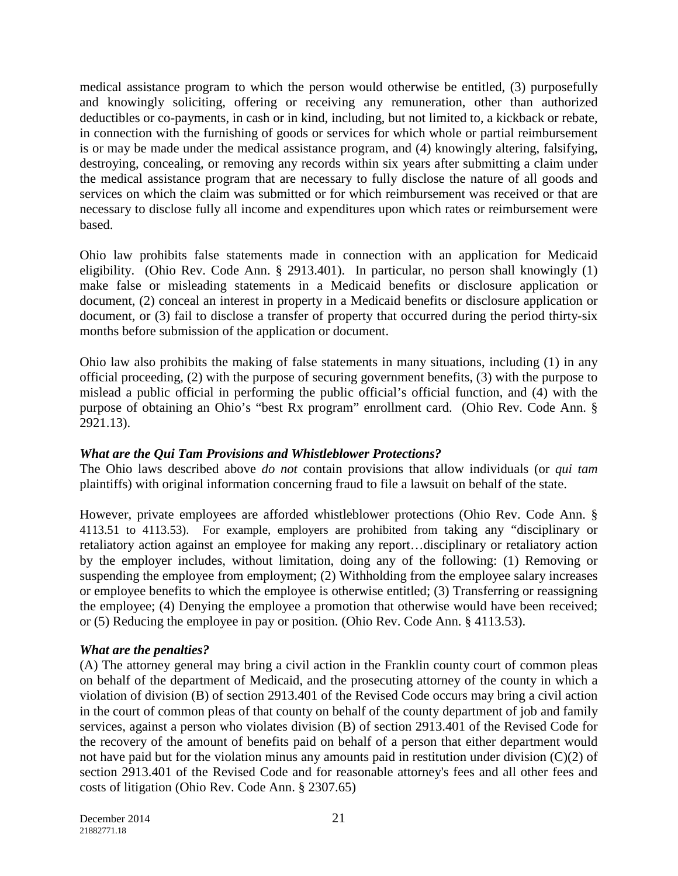medical assistance program to which the person would otherwise be entitled, (3) purposefully and knowingly soliciting, offering or receiving any remuneration, other than authorized deductibles or co-payments, in cash or in kind, including, but not limited to, a kickback or rebate, in connection with the furnishing of goods or services for which whole or partial reimbursement is or may be made under the medical assistance program, and (4) knowingly altering, falsifying, destroying, concealing, or removing any records within six years after submitting a claim under the medical assistance program that are necessary to fully disclose the nature of all goods and services on which the claim was submitted or for which reimbursement was received or that are necessary to disclose fully all income and expenditures upon which rates or reimbursement were based.

Ohio law prohibits false statements made in connection with an application for Medicaid eligibility. (Ohio Rev. Code Ann. § 2913.401). In particular, no person shall knowingly (1) make false or misleading statements in a Medicaid benefits or disclosure application or document, (2) conceal an interest in property in a Medicaid benefits or disclosure application or document, or (3) fail to disclose a transfer of property that occurred during the period thirty-six months before submission of the application or document.

Ohio law also prohibits the making of false statements in many situations, including (1) in any official proceeding, (2) with the purpose of securing government benefits, (3) with the purpose to mislead a public official in performing the public official's official function, and (4) with the purpose of obtaining an Ohio's "best Rx program" enrollment card. (Ohio Rev. Code Ann. § 2921.13).

# *What are the Qui Tam Provisions and Whistleblower Protections?*

The Ohio laws described above *do not* contain provisions that allow individuals (or *qui tam* plaintiffs) with original information concerning fraud to file a lawsuit on behalf of the state.

However, private employees are afforded whistleblower protections (Ohio Rev. Code Ann. § 4113.51 to 4113.53). For example, employers are prohibited from taking any "disciplinary or retaliatory action against an employee for making any report…disciplinary or retaliatory action by the employer includes, without limitation, doing any of the following: (1) Removing or suspending the employee from employment; (2) Withholding from the employee salary increases or employee benefits to which the employee is otherwise entitled; (3) Transferring or reassigning the employee; (4) Denying the employee a promotion that otherwise would have been received; or (5) Reducing the employee in pay or position. (Ohio Rev. Code Ann. § 4113.53).

### *What are the penalties?*

(A) The attorney general may bring a civil action in the Franklin county court of common pleas on behalf of the department of Medicaid, and the prosecuting attorney of the county in which a violation of division (B) of section 2913.401 of the Revised Code occurs may bring a civil action in the court of common pleas of that county on behalf of the county department of job and family services, against a person who violates division (B) of section 2913.401 of the Revised Code for the recovery of the amount of benefits paid on behalf of a person that either department would not have paid but for the violation minus any amounts paid in restitution under division (C)(2) of section 2913.401 of the Revised Code and for reasonable attorney's fees and all other fees and costs of litigation (Ohio Rev. Code Ann. § 2307.65)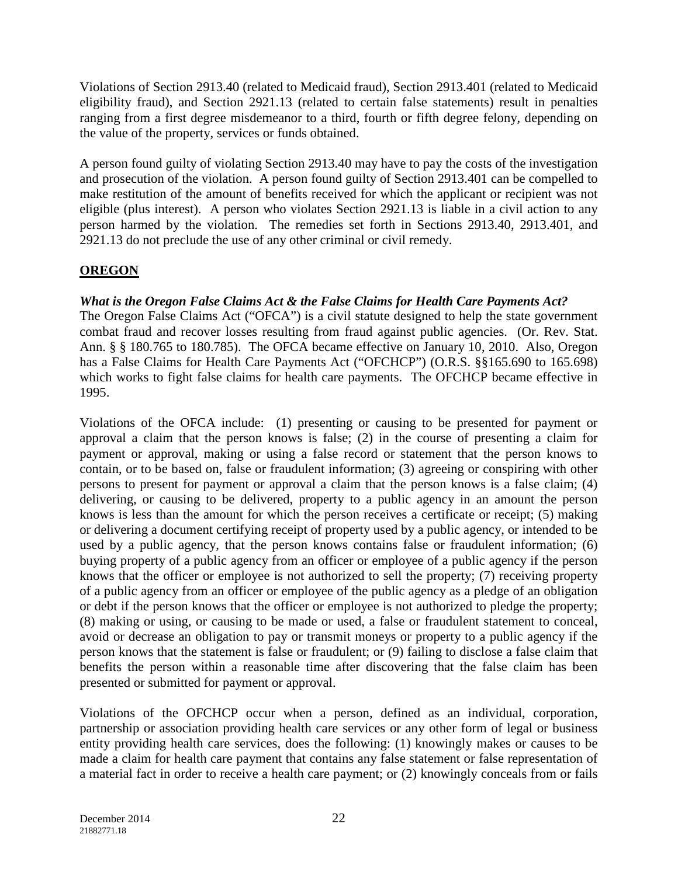Violations of Section 2913.40 (related to Medicaid fraud), Section 2913.401 (related to Medicaid eligibility fraud), and Section 2921.13 (related to certain false statements) result in penalties ranging from a first degree misdemeanor to a third, fourth or fifth degree felony, depending on the value of the property, services or funds obtained.

A person found guilty of violating Section 2913.40 may have to pay the costs of the investigation and prosecution of the violation. A person found guilty of Section 2913.401 can be compelled to make restitution of the amount of benefits received for which the applicant or recipient was not eligible (plus interest). A person who violates Section 2921.13 is liable in a civil action to any person harmed by the violation. The remedies set forth in Sections 2913.40, 2913.401, and 2921.13 do not preclude the use of any other criminal or civil remedy.

# **OREGON**

## *What is the Oregon False Claims Act & the False Claims for Health Care Payments Act?*

The Oregon False Claims Act ("OFCA") is a civil statute designed to help the state government combat fraud and recover losses resulting from fraud against public agencies. (Or. Rev. Stat. Ann. § § 180.765 to 180.785). The OFCA became effective on January 10, 2010. Also, Oregon has a False Claims for Health Care Payments Act ("OFCHCP") (O.R.S. §§165.690 to 165.698) which works to fight false claims for health care payments. The OFCHCP became effective in 1995.

Violations of the OFCA include: (1) presenting or causing to be presented for payment or approval a claim that the person knows is false; (2) in the course of presenting a claim for payment or approval, making or using a false record or statement that the person knows to contain, or to be based on, false or fraudulent information; (3) agreeing or conspiring with other persons to present for payment or approval a claim that the person knows is a false claim; (4) delivering, or causing to be delivered, property to a public agency in an amount the person knows is less than the amount for which the person receives a certificate or receipt; (5) making or delivering a document certifying receipt of property used by a public agency, or intended to be used by a public agency, that the person knows contains false or fraudulent information; (6) buying property of a public agency from an officer or employee of a public agency if the person knows that the officer or employee is not authorized to sell the property; (7) receiving property of a public agency from an officer or employee of the public agency as a pledge of an obligation or debt if the person knows that the officer or employee is not authorized to pledge the property; (8) making or using, or causing to be made or used, a false or fraudulent statement to conceal, avoid or decrease an obligation to pay or transmit moneys or property to a public agency if the person knows that the statement is false or fraudulent; or (9) failing to disclose a false claim that benefits the person within a reasonable time after discovering that the false claim has been presented or submitted for payment or approval.

Violations of the OFCHCP occur when a person, defined as an individual, corporation, partnership or association providing health care services or any other form of legal or business entity providing health care services, does the following: (1) knowingly makes or causes to be made a claim for health care payment that contains any false statement or false representation of a material fact in order to receive a health care payment; or (2) knowingly conceals from or fails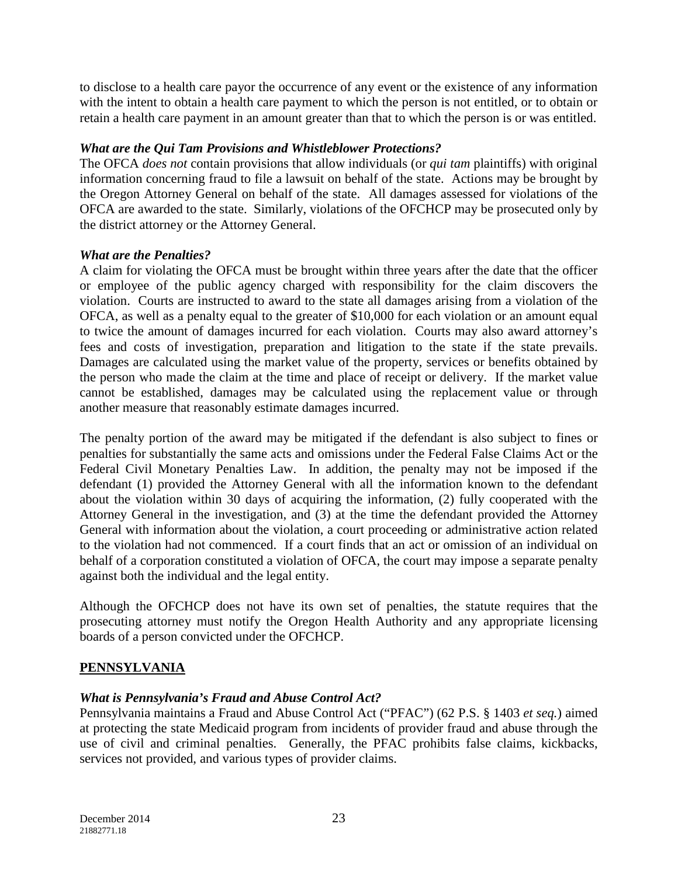to disclose to a health care payor the occurrence of any event or the existence of any information with the intent to obtain a health care payment to which the person is not entitled, or to obtain or retain a health care payment in an amount greater than that to which the person is or was entitled.

## *What are the Qui Tam Provisions and Whistleblower Protections?*

The OFCA *does not* contain provisions that allow individuals (or *qui tam* plaintiffs) with original information concerning fraud to file a lawsuit on behalf of the state. Actions may be brought by the Oregon Attorney General on behalf of the state. All damages assessed for violations of the OFCA are awarded to the state. Similarly, violations of the OFCHCP may be prosecuted only by the district attorney or the Attorney General.

### *What are the Penalties?*

A claim for violating the OFCA must be brought within three years after the date that the officer or employee of the public agency charged with responsibility for the claim discovers the violation. Courts are instructed to award to the state all damages arising from a violation of the OFCA, as well as a penalty equal to the greater of \$10,000 for each violation or an amount equal to twice the amount of damages incurred for each violation. Courts may also award attorney's fees and costs of investigation, preparation and litigation to the state if the state prevails. Damages are calculated using the market value of the property, services or benefits obtained by the person who made the claim at the time and place of receipt or delivery. If the market value cannot be established, damages may be calculated using the replacement value or through another measure that reasonably estimate damages incurred.

The penalty portion of the award may be mitigated if the defendant is also subject to fines or penalties for substantially the same acts and omissions under the Federal False Claims Act or the Federal Civil Monetary Penalties Law. In addition, the penalty may not be imposed if the defendant (1) provided the Attorney General with all the information known to the defendant about the violation within 30 days of acquiring the information, (2) fully cooperated with the Attorney General in the investigation, and (3) at the time the defendant provided the Attorney General with information about the violation, a court proceeding or administrative action related to the violation had not commenced. If a court finds that an act or omission of an individual on behalf of a corporation constituted a violation of OFCA, the court may impose a separate penalty against both the individual and the legal entity.

Although the OFCHCP does not have its own set of penalties, the statute requires that the prosecuting attorney must notify the Oregon Health Authority and any appropriate licensing boards of a person convicted under the OFCHCP.

# **PENNSYLVANIA**

### *What is Pennsylvania's Fraud and Abuse Control Act?*

Pennsylvania maintains a Fraud and Abuse Control Act ("PFAC") (62 P.S. § 1403 *et seq.*) aimed at protecting the state Medicaid program from incidents of provider fraud and abuse through the use of civil and criminal penalties. Generally, the PFAC prohibits false claims, kickbacks, services not provided, and various types of provider claims.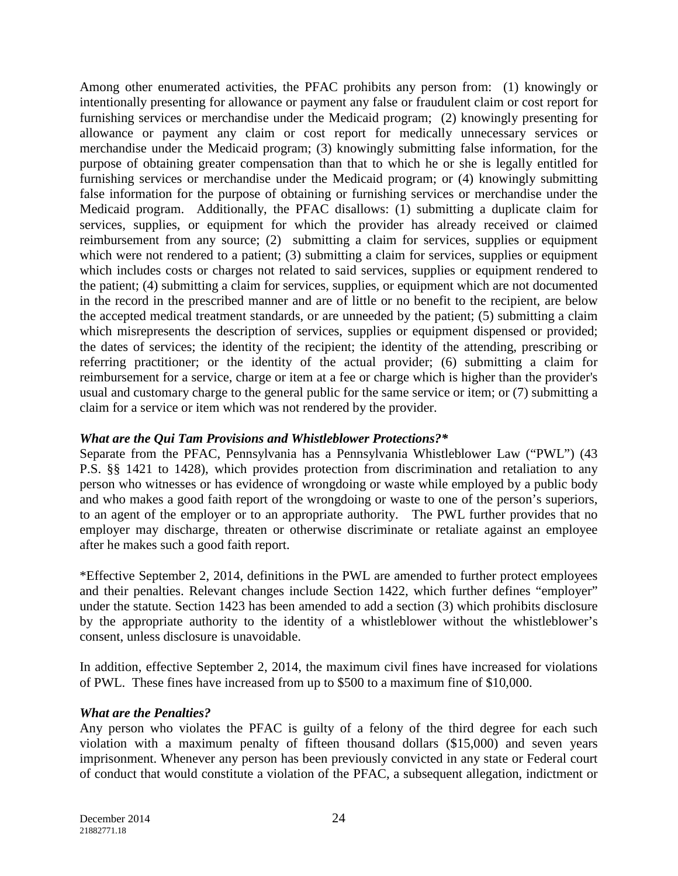Among other enumerated activities, the PFAC prohibits any person from: (1) knowingly or intentionally presenting for allowance or payment any false or fraudulent claim or cost report for furnishing services or merchandise under the Medicaid program; (2) knowingly presenting for allowance or payment any claim or cost report for medically unnecessary services or merchandise under the Medicaid program; (3) knowingly submitting false information, for the purpose of obtaining greater compensation than that to which he or she is legally entitled for furnishing services or merchandise under the Medicaid program; or (4) knowingly submitting false information for the purpose of obtaining or furnishing services or merchandise under the Medicaid program. Additionally, the PFAC disallows: (1) submitting a duplicate claim for services, supplies, or equipment for which the provider has already received or claimed reimbursement from any source; (2) submitting a claim for services, supplies or equipment which were not rendered to a patient; (3) submitting a claim for services, supplies or equipment which includes costs or charges not related to said services, supplies or equipment rendered to the patient; (4) submitting a claim for services, supplies, or equipment which are not documented in the record in the prescribed manner and are of little or no benefit to the recipient, are below the accepted medical treatment standards, or are unneeded by the patient; (5) submitting a claim which misrepresents the description of services, supplies or equipment dispensed or provided; the dates of services; the identity of the recipient; the identity of the attending, prescribing or referring practitioner; or the identity of the actual provider; (6) submitting a claim for reimbursement for a service, charge or item at a fee or charge which is higher than the provider's usual and customary charge to the general public for the same service or item; or (7) submitting a claim for a service or item which was not rendered by the provider.

#### *What are the Qui Tam Provisions and Whistleblower Protections?\**

Separate from the PFAC, Pennsylvania has a Pennsylvania Whistleblower Law ("PWL") (43 P.S. §§ 1421 to 1428), which provides protection from discrimination and retaliation to any person who witnesses or has evidence of wrongdoing or waste while employed by a public body and who makes a good faith report of the wrongdoing or waste to one of the person's superiors, to an agent of the employer or to an appropriate authority. The PWL further provides that no employer may discharge, threaten or otherwise discriminate or retaliate against an employee after he makes such a good faith report.

\*Effective September 2, 2014, definitions in the PWL are amended to further protect employees and their penalties. Relevant changes include Section 1422, which further defines "employer" under the statute. Section 1423 has been amended to add a section (3) which prohibits disclosure by the appropriate authority to the identity of a whistleblower without the whistleblower's consent, unless disclosure is unavoidable.

In addition, effective September 2, 2014, the maximum civil fines have increased for violations of PWL. These fines have increased from up to \$500 to a maximum fine of \$10,000.

#### *What are the Penalties?*

Any person who violates the PFAC is guilty of a felony of the third degree for each such violation with a maximum penalty of fifteen thousand dollars (\$15,000) and seven years imprisonment. Whenever any person has been previously convicted in any state or Federal court of conduct that would constitute a violation of the PFAC, a subsequent allegation, indictment or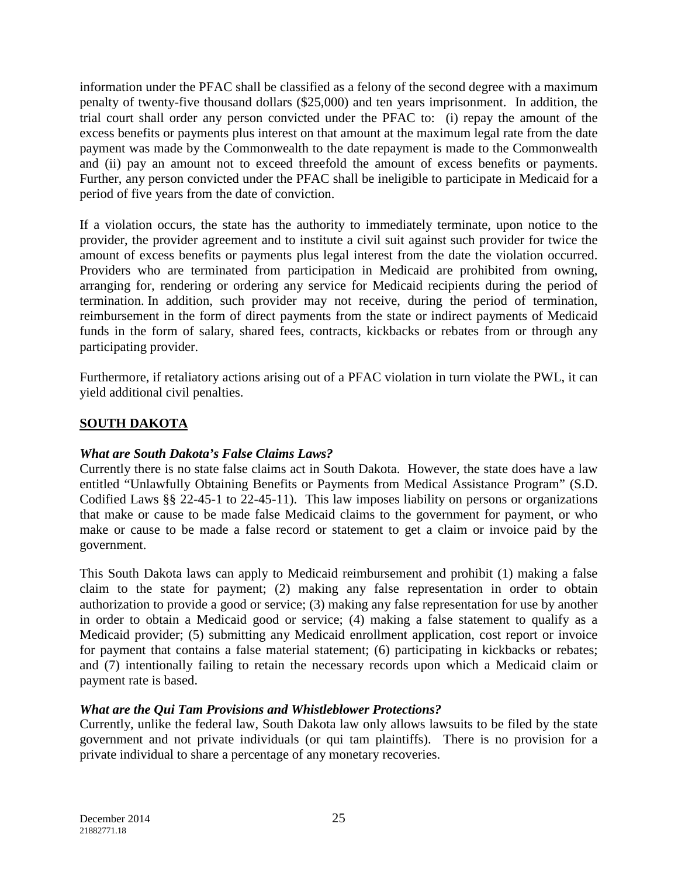information under the PFAC shall be classified as a felony of the second degree with a maximum penalty of twenty-five thousand dollars (\$25,000) and ten years imprisonment. In addition, the trial court shall order any person convicted under the PFAC to: (i) repay the amount of the excess benefits or payments plus interest on that amount at the maximum legal rate from the date payment was made by the Commonwealth to the date repayment is made to the Commonwealth and (ii) pay an amount not to exceed threefold the amount of excess benefits or payments. Further, any person convicted under the PFAC shall be ineligible to participate in Medicaid for a period of five years from the date of conviction.

If a violation occurs, the state has the authority to immediately terminate, upon notice to the provider, the provider agreement and to institute a civil suit against such provider for twice the amount of excess benefits or payments plus legal interest from the date the violation occurred. Providers who are terminated from participation in Medicaid are prohibited from owning, arranging for, rendering or ordering any service for Medicaid recipients during the period of termination. In addition, such provider may not receive, during the period of termination, reimbursement in the form of direct payments from the state or indirect payments of Medicaid funds in the form of salary, shared fees, contracts, kickbacks or rebates from or through any participating provider.

Furthermore, if retaliatory actions arising out of a PFAC violation in turn violate the PWL, it can yield additional civil penalties.

# **SOUTH DAKOTA**

### *What are South Dakota's False Claims Laws?*

Currently there is no state false claims act in South Dakota. However, the state does have a law entitled "Unlawfully Obtaining Benefits or Payments from Medical Assistance Program" (S.D. Codified Laws §§ 22-45-1 to 22-45-11). This law imposes liability on persons or organizations that make or cause to be made false Medicaid claims to the government for payment, or who make or cause to be made a false record or statement to get a claim or invoice paid by the government.

This South Dakota laws can apply to Medicaid reimbursement and prohibit (1) making a false claim to the state for payment; (2) making any false representation in order to obtain authorization to provide a good or service; (3) making any false representation for use by another in order to obtain a Medicaid good or service; (4) making a false statement to qualify as a Medicaid provider; (5) submitting any Medicaid enrollment application, cost report or invoice for payment that contains a false material statement; (6) participating in kickbacks or rebates; and (7) intentionally failing to retain the necessary records upon which a Medicaid claim or payment rate is based.

# *What are the Qui Tam Provisions and Whistleblower Protections?*

Currently, unlike the federal law, South Dakota law only allows lawsuits to be filed by the state government and not private individuals (or qui tam plaintiffs). There is no provision for a private individual to share a percentage of any monetary recoveries.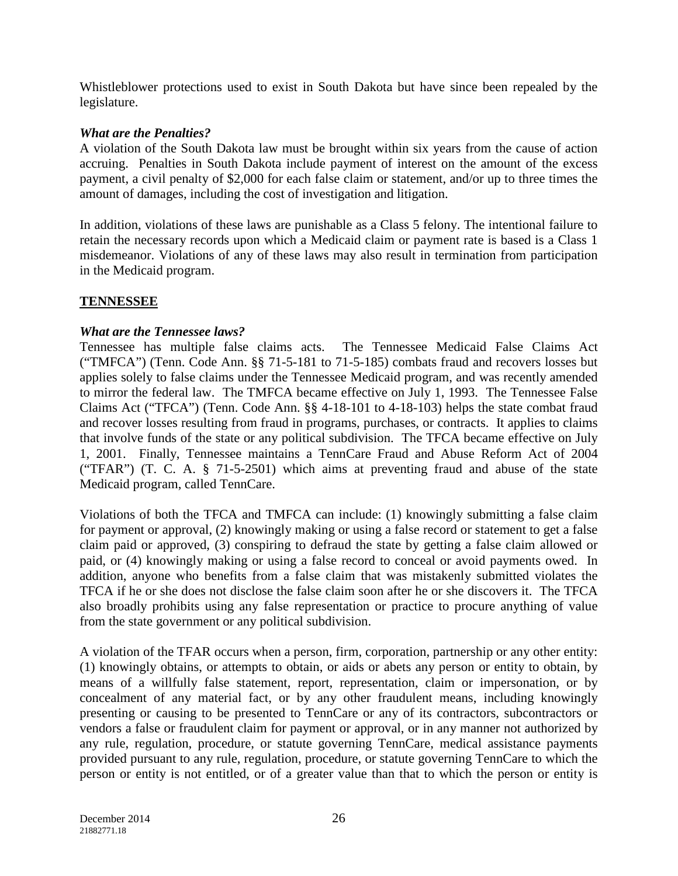Whistleblower protections used to exist in South Dakota but have since been repealed by the legislature.

## *What are the Penalties?*

A violation of the South Dakota law must be brought within six years from the cause of action accruing. Penalties in South Dakota include payment of interest on the amount of the excess payment, a civil penalty of \$2,000 for each false claim or statement, and/or up to three times the amount of damages, including the cost of investigation and litigation.

In addition, violations of these laws are punishable as a Class 5 felony. The intentional failure to retain the necessary records upon which a Medicaid claim or payment rate is based is a Class 1 misdemeanor. Violations of any of these laws may also result in termination from participation in the Medicaid program.

# **TENNESSEE**

### *What are the Tennessee laws?*

Tennessee has multiple false claims acts. The Tennessee Medicaid False Claims Act ("TMFCA") (Tenn. Code Ann. §§ 71-5-181 to 71-5-185) combats fraud and recovers losses but applies solely to false claims under the Tennessee Medicaid program, and was recently amended to mirror the federal law. The TMFCA became effective on July 1, 1993. The Tennessee False Claims Act ("TFCA") (Tenn. Code Ann. §§ 4-18-101 to 4-18-103) helps the state combat fraud and recover losses resulting from fraud in programs, purchases, or contracts. It applies to claims that involve funds of the state or any political subdivision. The TFCA became effective on July 1, 2001. Finally, Tennessee maintains a TennCare Fraud and Abuse Reform Act of 2004 ("TFAR") (T. C. A. § 71-5-2501) which aims at preventing fraud and abuse of the state Medicaid program, called TennCare.

Violations of both the TFCA and TMFCA can include: (1) knowingly submitting a false claim for payment or approval, (2) knowingly making or using a false record or statement to get a false claim paid or approved, (3) conspiring to defraud the state by getting a false claim allowed or paid, or (4) knowingly making or using a false record to conceal or avoid payments owed. In addition, anyone who benefits from a false claim that was mistakenly submitted violates the TFCA if he or she does not disclose the false claim soon after he or she discovers it. The TFCA also broadly prohibits using any false representation or practice to procure anything of value from the state government or any political subdivision.

A violation of the TFAR occurs when a person, firm, corporation, partnership or any other entity: (1) knowingly obtains, or attempts to obtain, or aids or abets any person or entity to obtain, by means of a willfully false statement, report, representation, claim or impersonation, or by concealment of any material fact, or by any other fraudulent means, including knowingly presenting or causing to be presented to TennCare or any of its contractors, subcontractors or vendors a false or fraudulent claim for payment or approval, or in any manner not authorized by any rule, regulation, procedure, or statute governing TennCare, medical assistance payments provided pursuant to any rule, regulation, procedure, or statute governing TennCare to which the person or entity is not entitled, or of a greater value than that to which the person or entity is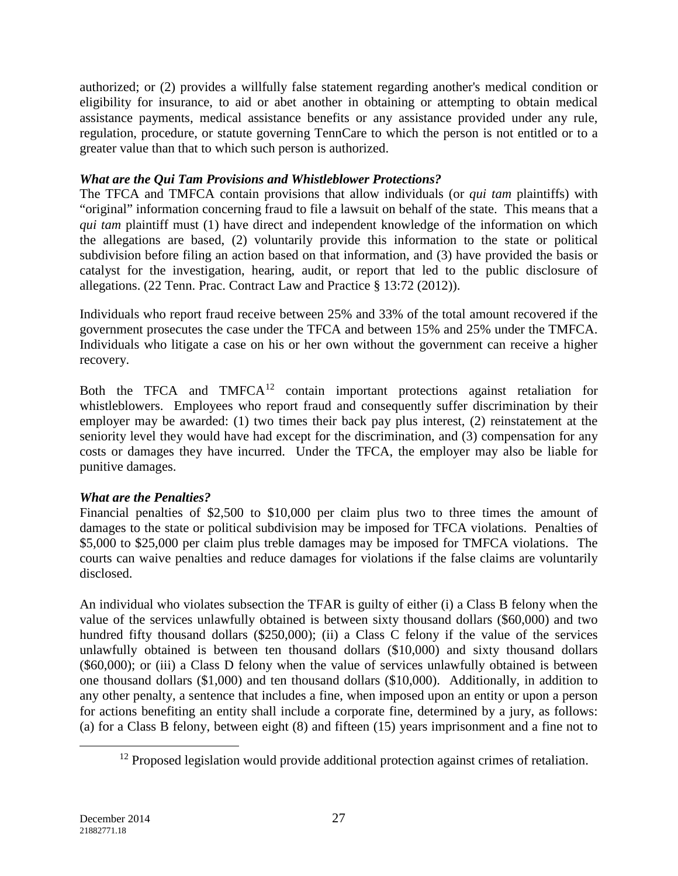authorized; or (2) provides a willfully false statement regarding another's medical condition or eligibility for insurance, to aid or abet another in obtaining or attempting to obtain medical assistance payments, medical assistance benefits or any assistance provided under any rule, regulation, procedure, or statute governing TennCare to which the person is not entitled or to a greater value than that to which such person is authorized.

## *What are the Qui Tam Provisions and Whistleblower Protections?*

The TFCA and TMFCA contain provisions that allow individuals (or *qui tam* plaintiffs) with "original" information concerning fraud to file a lawsuit on behalf of the state. This means that a *qui tam* plaintiff must (1) have direct and independent knowledge of the information on which the allegations are based, (2) voluntarily provide this information to the state or political subdivision before filing an action based on that information, and (3) have provided the basis or catalyst for the investigation, hearing, audit, or report that led to the public disclosure of allegations. (22 Tenn. Prac. Contract Law and Practice § 13:72 (2012)).

Individuals who report fraud receive between 25% and 33% of the total amount recovered if the government prosecutes the case under the TFCA and between 15% and 25% under the TMFCA. Individuals who litigate a case on his or her own without the government can receive a higher recovery.

Both the TFCA and  $TMFCA<sup>12</sup>$  $TMFCA<sup>12</sup>$  $TMFCA<sup>12</sup>$  contain important protections against retaliation for whistleblowers. Employees who report fraud and consequently suffer discrimination by their employer may be awarded: (1) two times their back pay plus interest, (2) reinstatement at the seniority level they would have had except for the discrimination, and (3) compensation for any costs or damages they have incurred. Under the TFCA, the employer may also be liable for punitive damages.

# *What are the Penalties?*

Financial penalties of \$2,500 to \$10,000 per claim plus two to three times the amount of damages to the state or political subdivision may be imposed for TFCA violations. Penalties of \$5,000 to \$25,000 per claim plus treble damages may be imposed for TMFCA violations. The courts can waive penalties and reduce damages for violations if the false claims are voluntarily disclosed.

An individual who violates subsection the TFAR is guilty of either (i) a Class B felony when the value of the services unlawfully obtained is between sixty thousand dollars (\$60,000) and two hundred fifty thousand dollars (\$250,000); (ii) a Class C felony if the value of the services unlawfully obtained is between ten thousand dollars (\$10,000) and sixty thousand dollars (\$60,000); or (iii) a Class D felony when the value of services unlawfully obtained is between one thousand dollars (\$1,000) and ten thousand dollars (\$10,000). Additionally, in addition to any other penalty, a sentence that includes a fine, when imposed upon an entity or upon a person for actions benefiting an entity shall include a corporate fine, determined by a jury, as follows: (a) for a Class B felony, between eight (8) and fifteen (15) years imprisonment and a fine not to

<span id="page-26-0"></span> $\overline{a}$ 

<sup>&</sup>lt;sup>12</sup> Proposed legislation would provide additional protection against crimes of retaliation.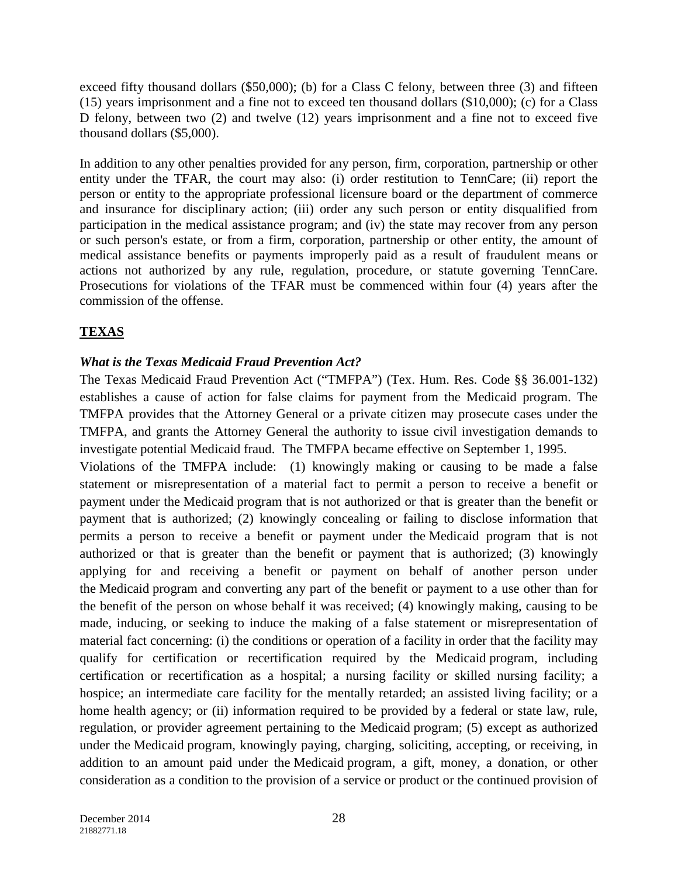exceed fifty thousand dollars (\$50,000); (b) for a Class C felony, between three (3) and fifteen (15) years imprisonment and a fine not to exceed ten thousand dollars (\$10,000); (c) for a Class D felony, between two (2) and twelve (12) years imprisonment and a fine not to exceed five thousand dollars (\$5,000).

In addition to any other penalties provided for any person, firm, corporation, partnership or other entity under the TFAR, the court may also: (i) order restitution to TennCare; (ii) report the person or entity to the appropriate professional licensure board or the department of commerce and insurance for disciplinary action; (iii) order any such person or entity disqualified from participation in the medical assistance program; and (iv) the state may recover from any person or such person's estate, or from a firm, corporation, partnership or other entity, the amount of medical assistance benefits or payments improperly paid as a result of fraudulent means or actions not authorized by any rule, regulation, procedure, or statute governing TennCare. Prosecutions for violations of the TFAR must be commenced within four (4) years after the commission of the offense.

# **TEXAS**

## *What is the Texas Medicaid Fraud Prevention Act?*

The Texas Medicaid Fraud Prevention Act ("TMFPA") (Tex. Hum. Res. Code §§ 36.001-132) establishes a cause of action for false claims for payment from the Medicaid program. The TMFPA provides that the Attorney General or a private citizen may prosecute cases under the TMFPA, and grants the Attorney General the authority to issue civil investigation demands to investigate potential Medicaid fraud. The TMFPA became effective on September 1, 1995.

Violations of the TMFPA include:(1) knowingly making or causing to be made a false statement or misrepresentation of a material fact to permit a person to receive a benefit or payment under the Medicaid program that is not authorized or that is greater than the benefit or payment that is authorized; (2) knowingly concealing or failing to disclose information that permits a person to receive a benefit or payment under the Medicaid program that is not authorized or that is greater than the benefit or payment that is authorized; (3) knowingly applying for and receiving a benefit or payment on behalf of another person under the Medicaid program and converting any part of the benefit or payment to a use other than for the benefit of the person on whose behalf it was received; (4) knowingly making, causing to be made, inducing, or seeking to induce the making of a false statement or misrepresentation of material fact concerning: (i) the conditions or operation of a facility in order that the facility may qualify for certification or recertification required by the Medicaid program, including certification or recertification as a hospital; a nursing facility or skilled nursing facility; a hospice; an intermediate care facility for the mentally retarded; an assisted living facility; or a home health agency; or (ii) information required to be provided by a federal or state law, rule, regulation, or provider agreement pertaining to the Medicaid program; (5) except as authorized under the Medicaid program, knowingly paying, charging, soliciting, accepting, or receiving, in addition to an amount paid under the Medicaid program, a gift, money, a donation, or other consideration as a condition to the provision of a service or product or the continued provision of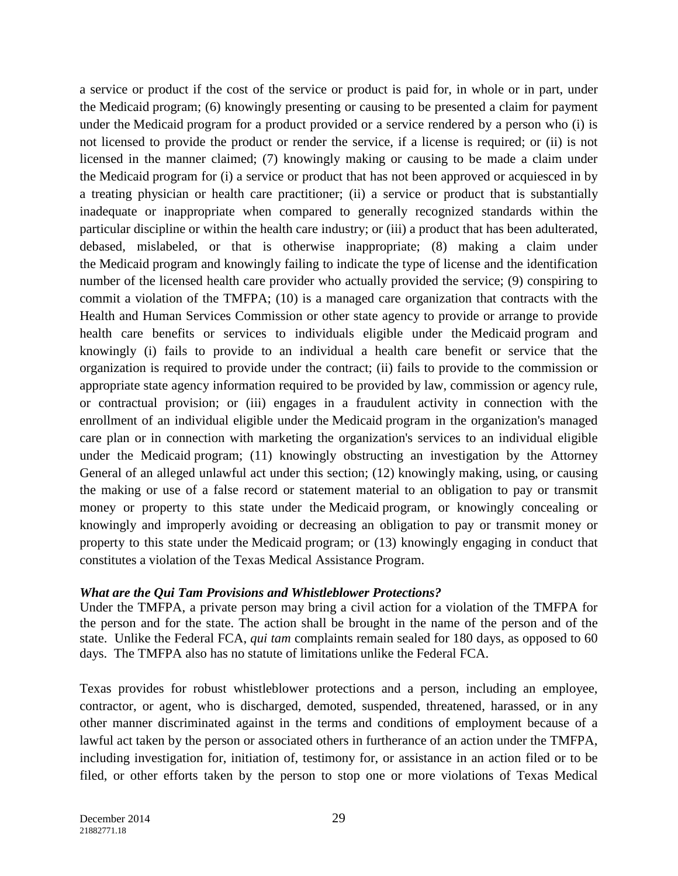a service or product if the cost of the service or product is paid for, in whole or in part, under the Medicaid program; (6) knowingly presenting or causing to be presented a claim for payment under the Medicaid program for a product provided or a service rendered by a person who (i) is not licensed to provide the product or render the service, if a license is required; or (ii) is not licensed in the manner claimed; (7) knowingly making or causing to be made a claim under the Medicaid program for (i) a service or product that has not been approved or acquiesced in by a treating physician or health care practitioner; (ii) a service or product that is substantially inadequate or inappropriate when compared to generally recognized standards within the particular discipline or within the health care industry; or (iii) a product that has been adulterated, debased, mislabeled, or that is otherwise inappropriate; (8) making a claim under the Medicaid program and knowingly failing to indicate the type of license and the identification number of the licensed health care provider who actually provided the service; (9) conspiring to commit a violation of the TMFPA; (10) is a managed care organization that contracts with the Health and Human Services Commission or other state agency to provide or arrange to provide health care benefits or services to individuals eligible under the Medicaid program and knowingly (i) fails to provide to an individual a health care benefit or service that the organization is required to provide under the contract; (ii) fails to provide to the commission or appropriate state agency information required to be provided by law, commission or agency rule, or contractual provision; or (iii) engages in a fraudulent activity in connection with the enrollment of an individual eligible under the Medicaid program in the organization's managed care plan or in connection with marketing the organization's services to an individual eligible under the Medicaid program; (11) knowingly obstructing an investigation by the Attorney General of an alleged unlawful act under this section; (12) knowingly making, using, or causing the making or use of a false record or statement material to an obligation to pay or transmit money or property to this state under the Medicaid program, or knowingly concealing or knowingly and improperly avoiding or decreasing an obligation to pay or transmit money or property to this state under the Medicaid program; or (13) knowingly engaging in conduct that constitutes a violation of the Texas Medical Assistance Program.

#### *What are the Qui Tam Provisions and Whistleblower Protections?*

Under the TMFPA, a private person may bring a civil action for a violation of the TMFPA for the person and for the state. The action shall be brought in the name of the person and of the state. Unlike the Federal FCA, *qui tam* complaints remain sealed for 180 days, as opposed to 60 days. The TMFPA also has no statute of limitations unlike the Federal FCA.

Texas provides for robust whistleblower protections and a person, including an employee, contractor, or agent, who is discharged, demoted, suspended, threatened, harassed, or in any other manner discriminated against in the terms and conditions of employment because of a lawful act taken by the person or associated others in furtherance of an action under the TMFPA, including investigation for, initiation of, testimony for, or assistance in an action filed or to be filed, or other efforts taken by the person to stop one or more violations of Texas Medical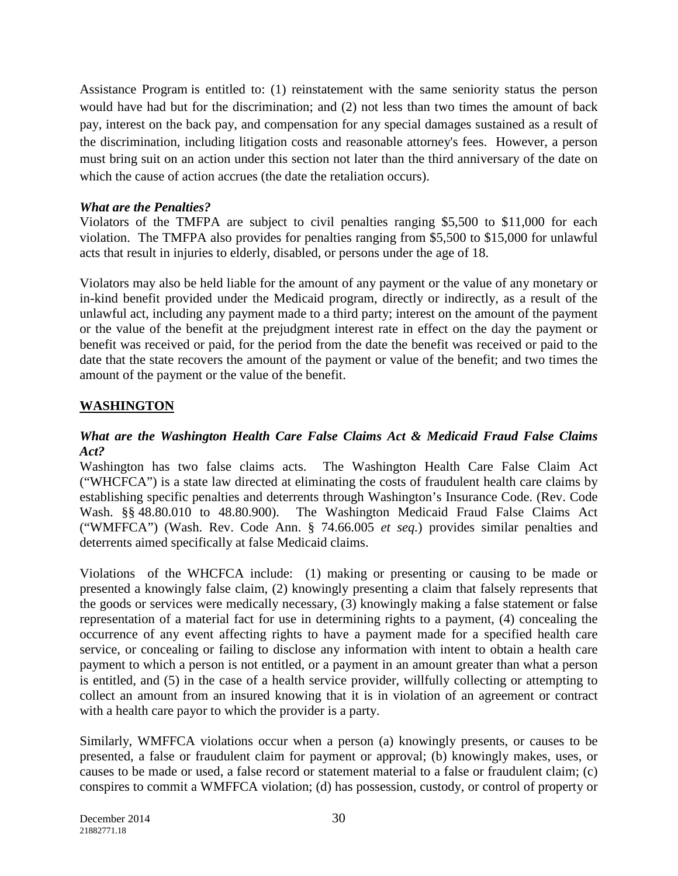Assistance Program is entitled to: (1) reinstatement with the same seniority status the person would have had but for the discrimination; and (2) not less than two times the amount of back pay, interest on the back pay, and compensation for any special damages sustained as a result of the discrimination, including litigation costs and reasonable attorney's fees. However, a person must bring suit on an action under this section not later than the third anniversary of the date on which the cause of action accrues (the date the retaliation occurs).

## *What are the Penalties?*

Violators of the TMFPA are subject to civil penalties ranging \$5,500 to \$11,000 for each violation. The TMFPA also provides for penalties ranging from \$5,500 to \$15,000 for unlawful acts that result in injuries to elderly, disabled, or persons under the age of 18.

Violators may also be held liable for the amount of any payment or the value of any monetary or in-kind benefit provided under the Medicaid program, directly or indirectly, as a result of the unlawful act, including any payment made to a third party; interest on the amount of the payment or the value of the benefit at the prejudgment interest rate in effect on the day the payment or benefit was received or paid, for the period from the date the benefit was received or paid to the date that the state recovers the amount of the payment or value of the benefit; and two times the amount of the payment or the value of the benefit.

# **WASHINGTON**

### *What are the Washington Health Care False Claims Act & Medicaid Fraud False Claims Act?*

Washington has two false claims acts. The Washington Health Care False Claim Act ("WHCFCA") is a state law directed at eliminating the costs of fraudulent health care claims by establishing specific penalties and deterrents through Washington's Insurance Code. (Rev. Code Wash. §§ 48.80.010 to 48.80.900). The Washington Medicaid Fraud False Claims Act ("WMFFCA") (Wash. Rev. Code Ann. § 74.66.005 *et seq.*) provides similar penalties and deterrents aimed specifically at false Medicaid claims.

Violations of the WHCFCA include: (1) making or presenting or causing to be made or presented a knowingly false claim, (2) knowingly presenting a claim that falsely represents that the goods or services were medically necessary, (3) knowingly making a false statement or false representation of a material fact for use in determining rights to a payment, (4) concealing the occurrence of any event affecting rights to have a payment made for a specified health care service, or concealing or failing to disclose any information with intent to obtain a health care payment to which a person is not entitled, or a payment in an amount greater than what a person is entitled, and (5) in the case of a health service provider, willfully collecting or attempting to collect an amount from an insured knowing that it is in violation of an agreement or contract with a health care payor to which the provider is a party.

Similarly, WMFFCA violations occur when a person (a) knowingly presents, or causes to be presented, a false or fraudulent claim for payment or approval; (b) knowingly makes, uses, or causes to be made or used, a false record or statement material to a false or fraudulent claim; (c) conspires to commit a WMFFCA violation; (d) has possession, custody, or control of property or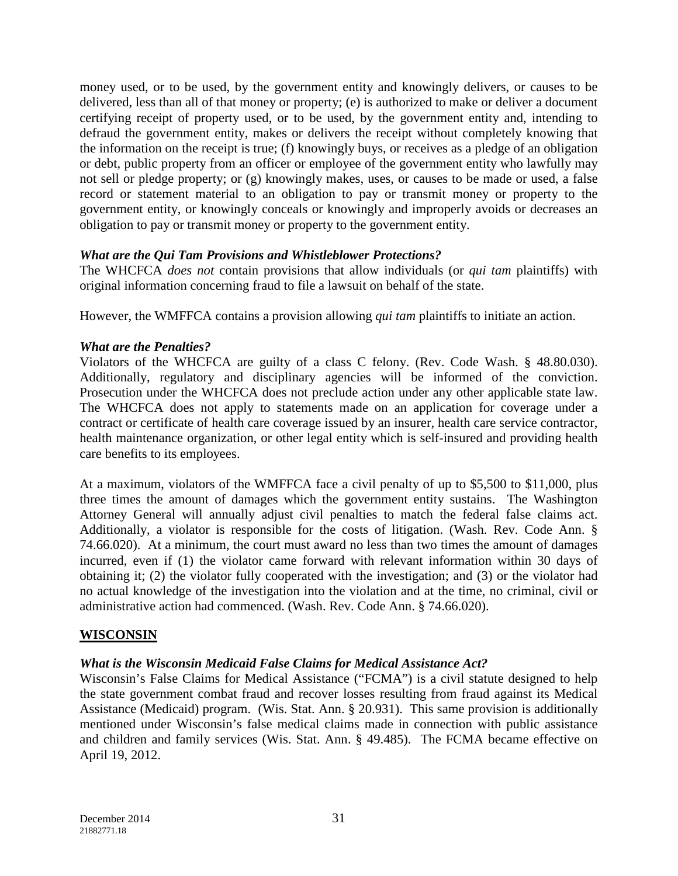money used, or to be used, by the government entity and knowingly delivers, or causes to be delivered, less than all of that money or property; (e) is authorized to make or deliver a document certifying receipt of property used, or to be used, by the government entity and, intending to defraud the government entity, makes or delivers the receipt without completely knowing that the information on the receipt is true; (f) knowingly buys, or receives as a pledge of an obligation or debt, public property from an officer or employee of the government entity who lawfully may not sell or pledge property; or (g) knowingly makes, uses, or causes to be made or used, a false record or statement material to an obligation to pay or transmit money or property to the government entity, or knowingly conceals or knowingly and improperly avoids or decreases an obligation to pay or transmit money or property to the government entity.

### *What are the Qui Tam Provisions and Whistleblower Protections?*

The WHCFCA *does not* contain provisions that allow individuals (or *qui tam* plaintiffs) with original information concerning fraud to file a lawsuit on behalf of the state.

However, the WMFFCA contains a provision allowing *qui tam* plaintiffs to initiate an action.

# *What are the Penalties?*

Violators of the WHCFCA are guilty of a class C felony. (Rev. Code Wash. § 48.80.030). Additionally, regulatory and disciplinary agencies will be informed of the conviction. Prosecution under the WHCFCA does not preclude action under any other applicable state law. The WHCFCA does not apply to statements made on an application for coverage under a contract or certificate of health care coverage issued by an insurer, health care service contractor, health maintenance organization, or other legal entity which is self-insured and providing health care benefits to its employees.

At a maximum, violators of the WMFFCA face a civil penalty of up to \$5,500 to \$11,000, plus three times the amount of damages which the government entity sustains. The Washington Attorney General will annually adjust civil penalties to match the federal false claims act. Additionally, a violator is responsible for the costs of litigation. (Wash. Rev. Code Ann. § 74.66.020). At a minimum, the court must award no less than two times the amount of damages incurred, even if (1) the violator came forward with relevant information within 30 days of obtaining it; (2) the violator fully cooperated with the investigation; and (3) or the violator had no actual knowledge of the investigation into the violation and at the time, no criminal, civil or administrative action had commenced. (Wash. Rev. Code Ann. § 74.66.020).

# **WISCONSIN**

# *What is the Wisconsin Medicaid False Claims for Medical Assistance Act?*

Wisconsin's False Claims for Medical Assistance ("FCMA") is a civil statute designed to help the state government combat fraud and recover losses resulting from fraud against its Medical Assistance (Medicaid) program. (Wis. Stat. Ann. § 20.931). This same provision is additionally mentioned under Wisconsin's false medical claims made in connection with public assistance and children and family services (Wis. Stat. Ann. § 49.485). The FCMA became effective on April 19, 2012.